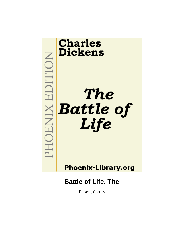

Dickens, Charles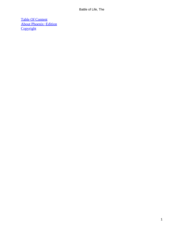[Table Of Content](#page-72-0) [About Phoenix−Edition](#page-73-0) **[Copyright](#page-76-0)**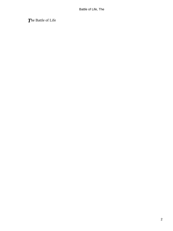*T*he Battle of Life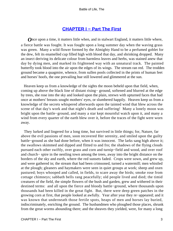# **[CHAPTER I − Part The First](#page-72-0)**

*O*nce upon a time, it matters little when, and in stalwart England, it matters little where, a fierce battle was fought. It was fought upon a long summer day when the waving grass was green. Many a wild flower formed by the Almighty Hand to be a perfumed goblet for the dew, felt its enamelled cup filled high with blood that day, and shrinking dropped. Many an insect deriving its delicate colour from harmless leaves and herbs, was stained anew that day by dying men, and marked its frightened way with an unnatural track. The painted butterfly took blood into the air upon the edges of its wings. The stream ran red. The trodden ground became a quagmire, whence, from sullen pools collected in the prints of human feet and horses' hoofs, the one prevailing hue still lowered and glimmered at the sun.

 Heaven keep us from a knowledge of the sights the moon beheld upon that field, when, coming up above the black line of distant rising− ground, softened and blurred at the edge by trees, she rose into the sky and looked upon the plain, strewn with upturned faces that had once at mothers' breasts sought mothers' eyes, or slumbered happily. Heaven keep us from a knowledge of the secrets whispered afterwards upon the tainted wind that blew across the scene of that day's work and that night's death and suffering! Many a lonely moon was bright upon the battle−ground, and many a star kept mournful watch upon it, and many a wind from every quarter of the earth blew over it, before the traces of the fight were worn away.

 They lurked and lingered for a long time, but survived in little things; for, Nature, far above the evil passions of men, soon recovered Her serenity, and smiled upon the guilty battle−ground as she had done before, when it was innocent. The larks sang high above it; the swallows skimmed and dipped and flitted to and fro; the shadows of the flying clouds pursued each other swiftly, over grass and corn and turnip−field and wood, and over roof and church− spire in the nestling town among the trees, away into the bright distance on the borders of the sky and earth, where the red sunsets faded. Crops were sown, and grew up, and were gathered in; the stream that had been crimsoned, turned a watermill; men whistled at the plough; gleaners and haymakers were seen in quiet groups at work; sheep and oxen pastured; boys whooped and called, in fields, to scare away the birds; smoke rose from cottage chimneys; sabbath bells rang peacefully; old people lived and died; the timid creatures of the field, the simple flowers of the bush and garden, grew and withered in their destined terms: and all upon the fierce and bloody battle−ground, where thousands upon thousands had been killed in the great fight. But, there were deep green patches in the growing corn at first, that people looked at awfully. Year after year they re−appeared; and it was known that underneath those fertile spots, heaps of men and horses lay buried, indiscriminately, enriching the ground. The husbandmen who ploughed those places, shrunk from the great worms abounding there; and the sheaves they yielded, were, for many a long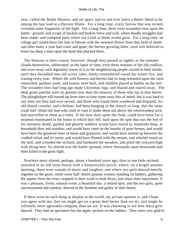year, called the Battle Sheaves, and set apart; and no one ever knew a Battle Sheaf to be among the last load at a Harvest Home. For a long time, every furrow that was turned, revealed some fragments of the fight. For a long time, there were wounded trees upon the battle− ground; and scraps of hacked and broken fence and wall, where deadly struggles had been made; and trampled parts where not a leaf or blade would grow. For a long time, no village girl would dress her hair or bosom with the sweetest flower from that field of death: and after many a year had come and gone, the berries growing there, were still believed to leave too deep a stain upon the hand that plucked them.

 The Seasons in their course, however, though they passed as lightly as the summer clouds themselves, obliterated, in the lapse of time, even these remains of the old conflict; and wore away such legendary traces of it as the neighbouring people carried in their minds, until they dwindled into old wives' tales, dimly remembered round the winter fire, and waning every year. Where the wild flowers and berries had so long remained upon the stem untouched, gardens arose, and houses were built, and children played at battles on the turf. The wounded trees had long ago made Christmas logs, and blazed and roared away. The deep green patches were no greener now than the memory of those who lay in dust below. The ploughshare still turned up from time to time some rusty bits of metal, but it was hard to say what use they had ever served, and those who found them wondered and disputed. An old dinted corselet, and a helmet, had been hanging in the church so long, that the same weak half−blind old man who tried in vain to make them out above the whitewashed arch, had marvelled at them as a baby. If the host slain upon the field, could have been for a moment reanimated in the forms in which they fell, each upon the spot that was the bed of his untimely death, gashed and ghastly soldiers would have stared in, hundreds deep, at household door and window; and would have risen on the hearths of quiet homes; and would have been the garnered store of barns and granaries; and would have started up between the cradled infant and its nurse; and would have floated with the stream, and whirled round on the mill, and crowded the orchard, and burdened the meadow, and piled the rickyard high with dying men. So altered was the battle−ground, where thousands upon thousands had been killed in the great fight.

 Nowhere more altered, perhaps, about a hundred years ago, than in one little orchard attached to an old stone house with a honeysuckle porch; where, on a bright autumn morning, there were sounds of music and laughter, and where two girls danced merrily together on the grass, while some half−dozen peasant women standing on ladders, gathering the apples from the trees, stopped in their work to look down, and share their enjoyment. It was a pleasant, lively, natural scene; a beautiful day, a retired spot; and the two girls, quite unconstrained and careless, danced in the freedom and gaiety of their hearts.

 If there were no such thing as display in the world, my private opinion is, and I hope you agree with me, that we might get on a great deal better than we do, and might be infinitely more agreeable company than we are. It was charming to see how these girls danced. They had no spectators but the apple−pickers on the ladders. They were very glad to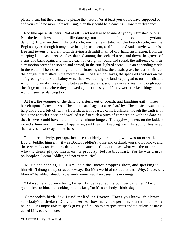please them, but they danced to please themselves (or at least you would have supposed so); and you could no more help admiring, than they could help dancing. How they did dance!

 Not like opera−dancers. Not at all. And not like Madame Anybody's finished pupils. Not the least. It was not quadrille dancing, nor minuet dancing, nor even country−dance dancing. It was neither in the old style, nor the new style, nor the French style, nor the English style: though it may have been, by accident, a trifle in the Spanish style, which is a free and joyous one, I am told, deriving a delightful air of off−hand inspiration, from the chirping little castanets. As they danced among the orchard trees, and down the groves of stems and back again, and twirled each other lightly round and round, the influence of their airy motion seemed to spread and spread, in the sun−lighted scene, like an expanding circle in the water. Their streaming hair and fluttering skirts, the elastic grass beneath their feet, the boughs that rustled in the morning air − the flashing leaves, the speckled shadows on the soft green ground − the balmy wind that swept along the landscape, glad to turn the distant windmill, cheerily – everything between the two girls, and the man and team at plough upon the ridge of land, where they showed against the sky as if they were the last things in the world − seemed dancing too.

 At last, the younger of the dancing sisters, out of breath, and laughing gaily, threw herself upon a bench to rest. The other leaned against a tree hard by. The music, a wandering harp and fiddle, left off with a flourish, as if it boasted of its freshness; though the truth is, it had gone at such a pace, and worked itself to such a pitch of competition with the dancing, that it never could have held on, half a minute longer. The apple− pickers on the ladders raised a hum and murmur of applause, and then, in keeping with the sound, bestirred themselves to work again like bees.

 The more actively, perhaps, because an elderly gentleman, who was no other than Doctor Jeddler himself − it was Doctor Jeddler's house and orchard, you should know, and these were Doctor Jeddler's daughters − came bustling out to see what was the matter, and who the deuce played music on his property, before breakfast. For he was a great philosopher, Doctor Jeddler, and not very musical.

 'Music and dancing TO−DAY!' said the Doctor, stopping short, and speaking to himself. 'I thought they dreaded to−day. But it's a world of contradictions. Why, Grace, why, Marion!' he added, aloud, 'is the world more mad than usual this morning?'

 'Make some allowance for it, father, if it be,' replied his younger daughter, Marion, going close to him, and looking into his face, 'for it's somebody's birth−day.'

 'Somebody's birth−day, Puss!' replied the Doctor. 'Don't you know it's always somebody's birth−day? Did you never hear how many new performers enter on this − ha! ha! ha! – it's impossible to speak gravely of it – on this preposterous and ridiculous business called Life, every minute?'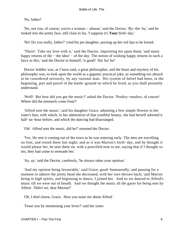'No, father!'

 'No, not you, of course; you're a woman − almost,' said the Doctor. 'By−the−by,' and he looked into the pretty face, still close to his, 'I suppose it's **Your** birth−day.'

'No! Do you really, father?' cried his pet daughter, pursing up her red lips to be kissed.

 'There! Take my love with it,' said the Doctor, imprinting his upon them; 'and many happy returns of the − the idea! − of the day. The notion of wishing happy returns in such a farce as this,' said the Doctor to himself, 'is good! Ha! ha!' ha!'

 Doctor Jeddler was, as I have said, a great philosopher, and the heart and mystery of his philosophy was, to look upon the world as a gigantic practical joke; as something too absurd to be considered seriously, by any rational man. His system of belief had been, in the beginning, part and parcel of the battle−ground on which he lived, as you shall presently understand.

 'Well! But how did you get the music?' asked the Doctor. 'Poultry−stealers, of course! Where did the minstrels come from?'

 'Alfred sent the music,' said his daughter Grace, adjusting a few simple flowers in her sister's hair, with which, in her admiration of that youthful beauty, she had herself adorned it half−an−hour before, and which the dancing had disarranged.

'Oh! Alfred sent the music, did he?' returned the Doctor.

 'Yes. He met it coming out of the town as he was entering early. The men are travelling on foot, and rested there last night; and as it was Marion's birth−day, and he thought it would please her, he sent them on, with a pencilled note to me, saying that if I thought so too, they had come to serenade her.'

'Ay, ay,' said the Doctor, carelessly, 'he always takes your opinion.'

 'And my opinion being favourable,' said Grace, good−humouredly; and pausing for a moment to admire the pretty head she decorated, with her own thrown back; 'and Marion being in high spirits, and beginning to dance, I joined her. And so we danced to Alfred's music till we were out of breath. And we thought the music all the gayer for being sent by Alfred. Didn't we, dear Marion?'

'Oh, I don't know, Grace. How you tease me about Alfred.'

'Tease you by mentioning your lover?' said her sister.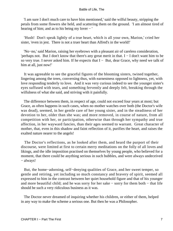'I am sure I don't much care to have him mentioned,' said the wilful beauty, stripping the petals from some flowers she held, and scattering them on the ground. 'I am almost tired of hearing of him; and as to his being my lover − '

 'Hush! Don't speak lightly of a true heart, which is all your own, Marion,' cried her sister, 'even in jest. There is not a truer heart than Alfred's in the world!'

 'No−no,' said Marion, raising her eyebrows with a pleasant air of careless consideration, 'perhaps not. But I don't know that there's any great merit in that. I − I don't want him to be so very true. I never asked him. If he expects that I − But, dear Grace, why need we talk of him at all, just now!'

 It was agreeable to see the graceful figures of the blooming sisters, twined together, lingering among the trees, conversing thus, with earnestness opposed to lightness, yet, with love responding tenderly to love. And it was very curious indeed to see the younger sister's eyes suffused with tears, and something fervently and deeply felt, breaking through the wilfulness of what she said, and striving with it painfully.

 The difference between them, in respect of age, could not exceed four years at most; but Grace, as often happens in such cases, when no mother watches over both (the Doctor's wife was dead), seemed, in her gentle care of her young sister, and in the steadiness of her devotion to her, older than she was; and more removed, in course of nature, from all competition with her, or participation, otherwise than through her sympathy and true affection, in her wayward fancies, than their ages seemed to warrant. Great character of mother, that, even in this shadow and faint reflection of it, purifies the heart, and raises the exalted nature nearer to the angels!

 The Doctor's reflections, as he looked after them, and heard the purport of their discourse, were limited at first to certain merry meditations on the folly of all loves and likings, and the idle imposition practised on themselves by young people, who believed for a moment, that there could be anything serious in such bubbles, and were always undeceived − always!

 But, the home−adorning, self−denying qualities of Grace, and her sweet temper, so gentle and retiring, yet including so much constancy and bravery of spirit, seemed all expressed to him in the contrast between her quiet household figure and that of his younger and more beautiful child; and he was sorry for her sake − sorry for them both − that life should be such a very ridiculous business as it was.

 The Doctor never dreamed of inquiring whether his children, or either of them, helped in any way to make the scheme a serious one. But then he was a Philosopher.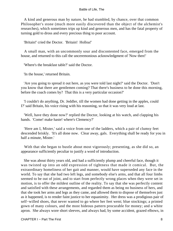A kind and generous man by nature, he had stumbled, by chance, over that common Philosopher's stone (much more easily discovered than the object of the alchemist's researches), which sometimes trips up kind and generous men, and has the fatal property of turning gold to dross and every precious thing to poor account.

'Britain!' cried the Doctor. 'Britain! Holloa!'

 A small man, with an uncommonly sour and discontented face, emerged from the house, and returned to this call the unceremonious acknowledgment of 'Now then!'

'Where's the breakfast table?' said the Doctor.

'In the house,' returned Britain.

 'Are you going to spread it out here, as you were told last night?' said the Doctor. 'Don't you know that there are gentlemen coming? That there's business to be done this morning, before the coach comes by? That this is a very particular occasion?'

 'I couldn't do anything, Dr. Jeddler, till the women had done getting in the apples, could I?' said Britain, his voice rising with his reasoning, so that it was very loud at last.

 'Well, have they done now?' replied the Doctor, looking at his watch, and clapping his hands. 'Come! make haste! where's Clemency?'

 'Here am I, Mister,' said a voice from one of the ladders, which a pair of clumsy feet descended briskly. 'It's all done now. Clear away, gals. Everything shall be ready for you in half a minute, Mister.'

 With that she began to bustle about most vigorously; presenting, as she did so, an appearance sufficiently peculiar to justify a word of introduction.

 She was about thirty years old, and had a sufficiently plump and cheerful face, though it was twisted up into an odd expression of tightness that made it comical. But, the extraordinary homeliness of her gait and manner, would have superseded any face in the world. To say that she had two left legs, and somebody else's arms, and that all four limbs seemed to be out of joint, and to start from perfectly wrong places when they were set in motion, is to offer the mildest outline of the reality. To say that she was perfectly content and satisfied with these arrangements, and regarded them as being no business of hers, and that she took her arms and legs as they came, and allowed them to dispose of themselves just as it happened, is to render faint justice to her equanimity. Her dress was a prodigious pair of self−willed shoes, that never wanted to go where her feet went; blue stockings; a printed gown of many colours, and the most hideous pattern procurable for money; and a white apron. She always wore short sleeves, and always had, by some accident, grazed elbows, in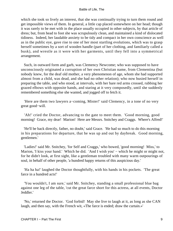which she took so lively an interest, that she was continually trying to turn them round and get impossible views of them. In general, a little cap placed somewhere on her head; though it was rarely to be met with in the place usually occupied in other subjects, by that article of dress; but, from head to foot she was scrupulously clean, and maintained a kind of dislocated tidiness. Indeed, her laudable anxiety to be tidy and compact in her own conscience as well as in the public eye, gave rise to one of her most startling evolutions, which was to grasp herself sometimes by a sort of wooden handle (part of her clothing, and familiarly called a busk), and wrestle as it were with her garments, until they fell into a symmetrical arrangement.

 Such, in outward form and garb, was Clemency Newcome; who was supposed to have unconsciously originated a corruption of her own Christian name, from Clementina (but nobody knew, for the deaf old mother, a very phenomenon of age, whom she had supported almost from a child, was dead, and she had no other relation); who now busied herself in preparing the table, and who stood, at intervals, with her bare red arms crossed, rubbing her grazed elbows with opposite hands, and staring at it very composedly, until she suddenly remembered something else she wanted, and jogged off to fetch it.

 'Here are them two lawyers a−coming, Mister!' said Clemency, in a tone of no very great good−will.

 'Ah!' cried the Doctor, advancing to the gate to meet them. 'Good morning, good morning! Grace, my dear! Marion! Here are Messrs. Snitchey and Craggs. Where's Alfred!'

 'He'll be back directly, father, no doubt,' said Grace. 'He had so much to do this morning in his preparations for departure, that he was up and out by daybreak. Good morning, gentlemen.'

 'Ladies!' said Mr. Snitchey, 'for Self and Craggs,' who bowed, 'good morning! Miss,' to Marion, 'I kiss your hand.' Which he did. 'And I wish you' – which he might or might not, for he didn't look, at first sight, like a gentleman troubled with many warm outpourings of soul, in behalf of other people, 'a hundred happy returns of this auspicious day.'

 'Ha ha ha!' laughed the Doctor thoughtfully, with his hands in his pockets. 'The great farce in a hundred acts!'

 'You wouldn't, I am sure,' said Mr. Snitchey, standing a small professional blue bag against one leg of the table, 'cut the great farce short for this actress, at all events, Doctor Jeddler.'

 'No,' returned the Doctor. 'God forbid! May she live to laugh at it, as long as she CAN laugh, and then say, with the French wit, «The farce is ended; draw the curtain.»'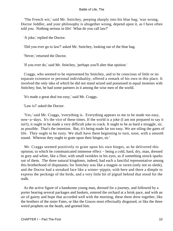'The French wit,' said Mr. Snitchey, peeping sharply into his blue bag, 'was wrong, Doctor Jeddler, and your philosophy is altogether wrong, depend upon it, as I have often told you. Nothing serious in life! What do you call law?'

'A joke,' replied the Doctor.

'Did you ever go to law?' asked Mr. Snitchey, looking out of the blue bag.

'Never,' returned the Doctor.

'If you ever do,' said Mr. Snitchey, 'perhaps you'll alter that opinion.'

 Craggs, who seemed to be represented by Snitchey, and to be conscious of little or no separate existence or personal individuality, offered a remark of his own in this place. It involved the only idea of which he did not stand seized and possessed in equal moieties with Snitchey; but, he had some partners in it among the wise men of the world.

'It's made a great deal too easy,' said Mr. Craggs.

'Law is?' asked the Doctor.

 'Yes,' said Mr. Craggs, 'everything is. Everything appears to me to be made too easy, now−a−days. It's the vice of these times. If the world is a joke (I am not prepared to say it isn't), it ought to be made a very difficult joke to crack. It ought to be as hard a struggle, sir, as possible. That's the intention. But, it's being made far too easy. We are oiling the gates of life. They ought to be rusty. We shall have them beginning to turn, soon, with a smooth sound. Whereas they ought to grate upon their hinges, sir.'

 Mr. Craggs seemed positively to grate upon his own hinges, as he delivered this opinion; to which he communicated immense effect − being a cold, hard, dry, man, dressed in grey and white, like a flint; with small twinkles in his eyes, as if something struck sparks out of them. The three natural kingdoms, indeed, had each a fanciful representative among this brotherhood of disputants; for Snitchey was like a magpie or raven (only not so sleek), and the Doctor had a streaked face like a winter−pippin, with here and there a dimple to express the peckings of the birds, and a very little bit of pigtail behind that stood for the stalk.

 As the active figure of a handsome young man, dressed for a journey, and followed by a porter bearing several packages and baskets, entered the orchard at a brisk pace, and with an air of gaiety and hope that accorded well with the morning, these three drew together, like the brothers of the sister Fates, or like the Graces most effectually disguised, or like the three weird prophets on the heath, and greeted him.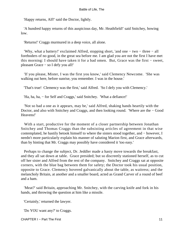'Happy returns, Alf!' said the Doctor, lightly.

 'A hundred happy returns of this auspicious day, Mr. Heathfield!' said Snitchey, bowing low.

'Returns!' Craggs murmured in a deep voice, all alone.

 'Why, what a battery!' exclaimed Alfred, stopping short, 'and one − two − three − all foreboders of no good, in the great sea before me. I am glad you are not the first I have met this morning: I should have taken it for a bad omen. But, Grace was the first − sweet, pleasant Grace − so I defy you all!'

 'If you please, Mister, I was the first you know,' said Clemency Newcome. 'She was walking out here, before sunrise, you remember. I was in the house.'

'That's true! Clemency was the first,' said Alfred. 'So I defy you with Clemency.'

'Ha, ha, ha, − for Self and Craggs,' said Snitchey. 'What a defiance!'

 'Not so bad a one as it appears, may be,' said Alfred, shaking hands heartily with the Doctor, and also with Snitchey and Craggs, and then looking round. 'Where are the − Good Heavens!'

 With a start, productive for the moment of a closer partnership between Jonathan Snitchey and Thomas Craggs than the subsisting articles of agreement in that wise contemplated, he hastily betook himself to where the sisters stood together, and − however, I needn't more particularly explain his manner of saluting Marion first, and Grace afterwards, than by hinting that Mr. Craggs may possibly have considered it 'too easy.'

 Perhaps to change the subject, Dr. Jeddler made a hasty move towards the breakfast, and they all sat down at table. Grace presided; but so discreetly stationed herself, as to cut off her sister and Alfred from the rest of the company. Snitchey and Craggs sat at opposite corners, with the blue bag between them for safety; the Doctor took his usual position, opposite to Grace. Clemency hovered galvanically about the table, as waitress; and the melancholy Britain, at another and a smaller board, acted as Grand Carver of a round of beef and a ham.

 'Meat?' said Britain, approaching Mr. Snitchey, with the carving knife and fork in his hands, and throwing the question at him like a missile.

'Certainly,' returned the lawyer.

'Do YOU want any?' to Craggs.

CHAPTER I − Part The First 11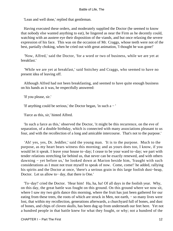'Lean and well done,' replied that gentleman.

 Having executed these orders, and moderately supplied the Doctor (he seemed to know that nobody else wanted anything to eat), he lingered as near the Firm as he decently could, watching with an austere eye their disposition of the viands, and but once relaxing the severe expression of his face. This was on the occasion of Mr. Craggs, whose teeth were not of the best, partially choking, when he cried out with great animation, 'I thought he was gone!'

 'Now, Alfred,' said the Doctor, 'for a word or two of business, while we are yet at breakfast.'

 'While we are yet at breakfast,' said Snitchey and Craggs, who seemed to have no present idea of leaving off.

 Although Alfred had not been breakfasting, and seemed to have quite enough business on his hands as it was, he respectfully answered:

'If you please, sir.'

'If anything could be serious,' the Doctor began, 'in such a − '

'Farce as this, sir,' hinted Alfred.

 'In such a farce as this,' observed the Doctor, 'it might be this recurrence, on the eve of separation, of a double birthday, which is connected with many associations pleasant to us four, and with the recollection of a long and amicable intercourse. That's not to the purpose.'

 'Ah! yes, yes, Dr. Jeddler,' said the young man. 'It is to the purpose. Much to the purpose, as my heart bears witness this morning; and as yours does too, I know, if you would let it speak. I leave your house to−day; I cease to be your ward to−day; we part with tender relations stretching far behind us, that never can be exactly renewed, and with others dawning − yet before us,' he looked down at Marion beside him, 'fraught with such considerations as I must not trust myself to speak of now. Come, come!' he added, rallying his spirits and the Doctor at once, 'there's a serious grain in this large foolish dust−heap, Doctor. Let us allow to− day, that there is One.'

 'To−day!' cried the Doctor. 'Hear him! Ha, ha, ha! Of all days in the foolish year. Why, on this day, the great battle was fought on this ground. On this ground where we now sit, where I saw my two girls dance this morning, where the fruit has just been gathered for our eating from these trees, the roots of which are struck in Men, not earth, – so many lives were lost, that within my recollection, generations afterwards, a churchyard full of bones, and dust of bones, and chips of cloven skulls, has been dug up from underneath our feet here. Yet not a hundred people in that battle knew for what they fought, or why; not a hundred of the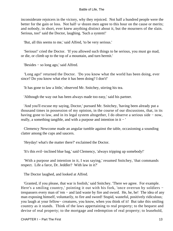inconsiderate rejoicers in the victory, why they rejoiced. Not half a hundred people were the better for the gain or loss. Not half−a−dozen men agree to this hour on the cause or merits; and nobody, in short, ever knew anything distinct about it, but the mourners of the slain. Serious, too!' said the Doctor, laughing. 'Such a system!'

'But, all this seems to me,' said Alfred, 'to be very serious.'

 'Serious!' cried the Doctor. 'If you allowed such things to be serious, you must go mad, or die, or climb up to the top of a mountain, and turn hermit.'

'Besides − so long ago,' said Alfred.

 'Long ago!' returned the Doctor. 'Do you know what the world has been doing, ever since? Do you know what else it has been doing? I don't!'

'It has gone to law a little,' observed Mr. Snitchey, stirring his tea.

'Although the way out has been always made too easy,' said his partner.

 'And you'll excuse my saying, Doctor,' pursued Mr. Snitchey, 'having been already put a thousand times in possession of my opinion, in the course of our discussions, that, in its having gone to law, and in its legal system altogether, I do observe a serious side − now, really, a something tangible, and with a purpose and intention in it − '

 Clemency Newcome made an angular tumble against the table, occasioning a sounding clatter among the cups and saucers.

'Heyday! what's the matter there?' exclaimed the Doctor.

'It's this evil−inclined blue bag,' said Clemency, 'always tripping up somebody!'

 'With a purpose and intention in it, I was saying,' resumed Snitchey, 'that commands respect. Life a farce, Dr. Jeddler? With law in it?'

The Doctor laughed, and looked at Alfred.

 'Granted, if you please, that war is foolish,' said Snitchey. 'There we agree. For example. Here's a smiling country,' pointing it out with his fork, 'once overrun by soldiers − trespassers every man of 'em − and laid waste by fire and sword. He, he, he! The idea of any man exposing himself, voluntarily, to fire and sword! Stupid, wasteful, positively ridiculous; you laugh at your fellow− creatures, you know, when you think of it! But take this smiling country as it stands. Think of the laws appertaining to real property; to the bequest and devise of real property; to the mortgage and redemption of real property; to leasehold,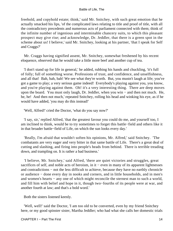freehold, and copyhold estate; think,' said Mr. Snitchey, with such great emotion that he actually smacked his lips, 'of the complicated laws relating to title and proof of title, with all the contradictory precedents and numerous acts of parliament connected with them; think of the infinite number of ingenious and interminable chancery suits, to which this pleasant prospect may give rise; and acknowledge, Dr. Jeddler, that there is a green spot in the scheme about us! I believe,' said Mr. Snitchey, looking at his partner, 'that I speak for Self and Craggs?'

 Mr. Craggs having signified assent, Mr. Snitchey, somewhat freshened by his recent eloquence, observed that he would take a little more beef and another cup of tea.

 'I don't stand up for life in general,' he added, rubbing his hands and chuckling, 'it's full of folly; full of something worse. Professions of trust, and confidence, and unselfishness, and all that! Bah, bah, bah! We see what they're worth. But, you mustn't laugh at life; you've got a game to play; a very serious game indeed! Everybody's playing against you, you know, and you're playing against them. Oh! it's a very interesting thing. There are deep moves upon the board. You must only laugh, Dr. Jeddler, when you win − and then not much. He, he, he! And then not much,' repeated Snitchey, rolling his head and winking his eye, as if he would have added, 'you may do this instead!'

'Well, Alfred!' cried the Doctor, 'what do you say now?'

 'I say, sir,' replied Alfred, 'that the greatest favour you could do me, and yourself too, I am inclined to think, would be to try sometimes to forget this battle−field and others like it in that broader battle−field of Life, on which the sun looks every day.'

 'Really, I'm afraid that wouldn't soften his opinions, Mr. Alfred,' said Snitchey. 'The combatants are very eager and very bitter in that same battle of Life. There's a great deal of cutting and slashing, and firing into people's heads from behind. There is terrible treading down, and trampling on. It is rather a bad business.'

 'I believe, Mr. Snitchey,' said Alfred, 'there are quiet victories and struggles, great sacrifices of self, and noble acts of heroism, in it – even in many of its apparent lightnesses and contradictions − not the less difficult to achieve, because they have no earthly chronicle or audience − done every day in nooks and corners, and in little households, and in men's and women's hearts − any one of which might reconcile the sternest man to such a world, and fill him with belief and hope in it, though two−fourths of its people were at war, and another fourth at law; and that's a bold word.'

Both the sisters listened keenly.

 'Well, well!' said the Doctor, 'I am too old to be converted, even by my friend Snitchey here, or my good spinster sister, Martha Jeddler; who had what she calls her domestic trials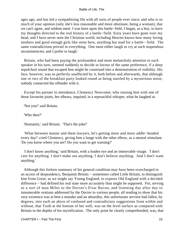ages ago, and has led a sympathising life with all sorts of people ever since; and who is so much of your opinion (only she's less reasonable and more obstinate, being a woman), that we can't agree, and seldom meet. I was born upon this battle−field. I began, as a boy, to have my thoughts directed to the real history of a battle−field. Sixty years have gone over my head, and I have never seen the Christian world, including Heaven knows how many loving mothers and good enough girls like mine here, anything but mad for a battle− field. The same contradictions prevail in everything. One must either laugh or cry at such stupendous inconsistencies; and I prefer to laugh.'

 Britain, who had been paying the profoundest and most melancholy attention to each speaker in his turn, seemed suddenly to decide in favour of the same preference, if a deep sepulchral sound that escaped him might be construed into a demonstration of risibility. His face, however, was so perfectly unaffected by it, both before and afterwards, that although one or two of the breakfast party looked round as being startled by a mysterious noise, nobody connected the offender with it.

 Except his partner in attendance, Clemency Newcome; who rousing him with one of those favourite joints, her elbows, inquired, in a reproachful whisper, what he laughed at.

'Not you!' said Britain.

'Who then?'

'Humanity,' said Britain. 'That's the joke!'

 'What between master and them lawyers, he's getting more and more addle−headed every day!' cried Clemency, giving him a lunge with the other elbow, as a mental stimulant. 'Do you know where you are? Do you want to get warning?'

 'I don't know anything,' said Britain, with a leaden eye and an immovable visage. 'I don't care for anything. I don't make out anything. I don't believe anything. And I don't want anything.'

 Although this forlorn summary of his general condition may have been overcharged in an access of despondency, Benjamin Britain − sometimes called Little Britain, to distinguish him from Great; as we might say Young England, to express Old England with a decided difference − had defined his real state more accurately than might be supposed. For, serving as a sort of man Miles to the Doctor's Friar Bacon, and listening day after day to innumerable orations addressed by the Doctor to various people, all tending to show that his very existence was at best a mistake and an absurdity, this unfortunate servitor had fallen, by degrees, into such an abyss of confused and contradictory suggestions from within and without, that Truth at the bottom of her well, was on the level surface as compared with Britain in the depths of his mystification. The only point he clearly comprehended, was, that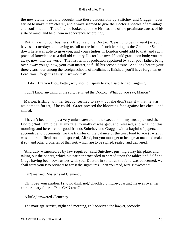the new element usually brought into these discussions by Snitchey and Craggs, never served to make them clearer, and always seemed to give the Doctor a species of advantage and confirmation. Therefore, he looked upon the Firm as one of the proximate causes of his state of mind, and held them in abhorrence accordingly.

 'But, this is not our business, Alfred,' said the Doctor. 'Ceasing to be my ward (as you have said) to−day; and leaving us full to the brim of such learning as the Grammar School down here was able to give you, and your studies in London could add to that, and such practical knowledge as a dull old country Doctor like myself could graft upon both; you are away, now, into the world. The first term of probation appointed by your poor father, being over, away you go now, your own master, to fulfil his second desire. And long before your three years' tour among the foreign schools of medicine is finished, you'll have forgotten us. Lord, you'll forget us easily in six months!'

'If I do − But you know better; why should I speak to you!' said Alfred, laughing.

'I don't know anything of the sort,' returned the Doctor. 'What do you say, Marion?'

Marion, trifling with her teacup, seemed to say  $-$  but she didn't say it  $-$  that he was welcome to forget, if he could. Grace pressed the blooming face against her cheek, and smiled.

 'I haven't been, I hope, a very unjust steward in the execution of my trust,' pursued the Doctor; 'but I am to be, at any rate, formally discharged, and released, and what not this morning; and here are our good friends Snitchey and Craggs, with a bagful of papers, and accounts, and documents, for the transfer of the balance of the trust fund to you (I wish it was a more difficult one to dispose of, Alfred, but you must get to be a great man and make it so), and other drolleries of that sort, which are to be signed, sealed, and delivered.'

 'And duly witnessed as by law required,' said Snitchey, pushing away his plate, and taking out the papers, which his partner proceeded to spread upon the table; 'and Self and Crags having been co−trustees with you, Doctor, in so far as the fund was concerned, we shall want your two servants to attest the signatures – can you read, Mrs. Newcome?'

'I an't married, Mister,' said Clemency.

 'Oh! I beg your pardon. I should think not,' chuckled Snitchey, casting his eyes over her extraordinary figure. 'You CAN read?'

'A little,' answered Clemency.

'The marriage service, night and morning, eh?' observed the lawyer, jocosely.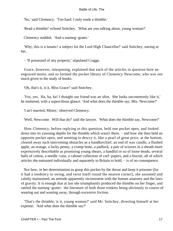'No,' said Clemency. 'Too hard. I only reads a thimble.'

'Read a thimble!' echoed Snitchey. 'What are you talking about, young woman?'

Clemency nodded. 'And a nutmeg−grater.'

 'Why, this is a lunatic! a subject for the Lord High Chancellor!' said Snitchey, staring at her.

− 'If possessed of any property,' stipulated Craggs.

 Grace, however, interposing, explained that each of the articles in question bore an engraved motto, and so formed the pocket library of Clemency Newcome, who was not much given to the study of books.

'Oh, that's it, is it, Miss Grace!' said Snitchey.

 'Yes, yes. Ha, ha, ha! I thought our friend was an idiot. She looks uncommonly like it,' he muttered, with a supercilious glance. 'And what does the thimble say, Mrs. Newcome?'

'I an't married, Mister,' observed Clemency.

'Well, Newcome. Will that do?' said the lawyer. 'What does the thimble say, Newcome?'

 How Clemency, before replying to this question, held one pocket open, and looked down into its yawning depths for the thimble which wasn't there, − and how she then held an opposite pocket open, and seeming to descry it, like a pearl of great price, at the bottom, cleared away such intervening obstacles as a handkerchief, an end of wax candle, a flushed apple, an orange, a lucky penny, a cramp bone, a padlock, a pair of scissors in a sheath more expressively describable as promising young shears, a handful or so of loose beads, several balls of cotton, a needle−case, a cabinet collection of curl−papers, and a biscuit, all of which articles she entrusted individually and separately to Britain to hold, − is of no consequence.

 Nor how, in her determination to grasp this pocket by the throat and keep it prisoner (for it had a tendency to swing, and twist itself round the nearest corner), she assumed and calmly maintained, an attitude apparently inconsistent with the human anatomy and the laws of gravity. It is enough that at last she triumphantly produced the thimble on her finger, and rattled the nutmeg−grater: the literature of both those trinkets being obviously in course of wearing out and wasting away, through excessive friction.

 'That's the thimble, is it, young woman?' said Mr. Snitchey, diverting himself at her expense. 'And what does the thimble say?'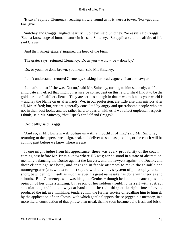'It says,' replied Clemency, reading slowly round as if it were a tower, 'For−get and For−give.'

 Snitchey and Craggs laughed heartily. 'So new!' said Snitchey. 'So easy!' said Craggs. 'Such a knowledge of human nature in it!' said Snitchey. 'So applicable to the affairs of life!' said Craggs.

'And the nutmeg−grater?' inquired the head of the Firm.

'The grater says,' returned Clemency, 'Do as you − wold − be − done by.'

'Do, or you'll be done brown, you mean,' said Mr. Snitchey.

'I don't understand,' retorted Clemency, shaking her head vaguely. 'I an't no lawyer.'

 'I am afraid that if she was, Doctor,' said Mr. Snitchey, turning to him suddenly, as if to anticipate any effect that might otherwise be consequent on this retort, 'she'd find it to be the golden rule of half her clients. They are serious enough in that – whimsical as your world is − and lay the blame on us afterwards. We, in our profession, are little else than mirrors after all, Mr. Alfred; but, we are generally consulted by angry and quarrelsome people who are not in their best looks, and it's rather hard to quarrel with us if we reflect unpleasant aspects. I think,' said Mr. Snitchey, 'that I speak for Self and Craggs?'

'Decidedly,' said Craggs.

 'And so, if Mr. Britain will oblige us with a mouthful of ink,' said Mr. Snitchey, returning to the papers, 'we'll sign, seal, and deliver as soon as possible, or the coach will be coming past before we know where we are.'

 If one might judge from his appearance, there was every probability of the coach coming past before Mr. Britain knew where HE was; for he stood in a state of abstraction, mentally balancing the Doctor against the lawyers, and the lawyers against the Doctor, and their clients against both, and engaged in feeble attempts to make the thimble and nutmeg−grater (a new idea to him) square with anybody's system of philosophy; and, in short, bewildering himself as much as ever his great namesake has done with theories and schools. But, Clemency, who was his good Genius – though he had the meanest possible opinion of her understanding, by reason of her seldom troubling herself with abstract speculations, and being always at hand to do the right thing at the right time – having produced the ink in a twinkling, tendered him the further service of recalling him to himself by the application of her elbows; with which gentle flappers she so jogged his memory, in a more literal construction of that phrase than usual, that he soon became quite fresh and brisk.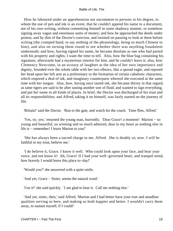How he laboured under an apprehension not uncommon to persons in his degree, to whom the use of pen and ink is an event, that he couldn't append his name to a document, not of his own writing, without committing himself in some shadowy manner, or somehow signing away vague and enormous sums of money; and how he approached the deeds under protest, and by dint of the Doctor's coercion, and insisted on pausing to look at them before writing (the cramped hand, to say nothing of the phraseology, being so much Chinese to him), and also on turning them round to see whether there was anything fraudulent underneath; and how, having signed his name, he became desolate as one who had parted with his property and rights; I want the time to tell. Also, how the blue bag containing his signature, afterwards had a mysterious interest for him, and he couldn't leave it; also, how Clemency Newcome, in an ecstasy of laughter at the idea of her own importance and dignity, brooded over the whole table with her two elbows, like a spread eagle, and reposed her head upon her left arm as a preliminary to the formation of certain cabalistic characters, which required a deal of ink, and imaginary counterparts whereof she executed at the same time with her tongue. Also, how, having once tasted ink, she became thirsty in that regard, as tame tigers are said to be after tasting another sort of fluid, and wanted to sign everything, and put her name in all kinds of places. In brief, the Doctor was discharged of his trust and all its responsibilities; and Alfred, taking it on himself, was fairly started on the journey of life.

'Britain!' said the Doctor. 'Run to the gate, and watch for the coach. Time flies, Alfred.'

 'Yes, sir, yes,' returned the young man, hurriedly. 'Dear Grace! a moment! Marion − so young and beautiful, so winning and so much admired, dear to my heart as nothing else in life is − remember! I leave Marion to you!'

 'She has always been a sacred charge to me, Alfred. She is doubly so, now. I will be faithful to my trust, believe me.'

 'I do believe it, Grace. I know it well. Who could look upon your face, and hear your voice, and not know it! Ah, Grace! If I had your well−governed heart, and tranquil mind, how bravely I would leave this place to−day!'

'Would you?' she answered with a quiet smile.

'And yet, Grace − Sister, seems the natural word.'

'Use it!' she said quickly. 'I am glad to hear it. Call me nothing else.'

 'And yet, sister, then,' said Alfred, 'Marion and I had better have your true and steadfast qualities serving us here, and making us both happier and better. I wouldn't carry them away, to sustain myself, if I could!'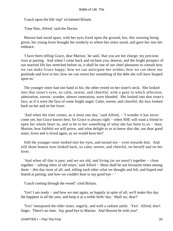'Coach upon the hill−top!' exclaimed Britain.

'Time flies, Alfred,' said the Doctor.

 Marion had stood apart, with her eyes fixed upon the ground; but, this warning being given, her young lover brought her tenderly to where her sister stood, and gave her into her embrace.

 'I have been telling Grace, dear Marion,' he said, 'that you are her charge; my precious trust at parting. And when I come back and reclaim you, dearest, and the bright prospect of our married life lies stretched before us, it shall be one of our chief pleasures to consult how we can make Grace happy; how we can anticipate her wishes; how we can show our gratitude and love to her; how we can return her something of the debt she will have heaped upon us.'

 The younger sister had one hand in his; the other rested on her sister's neck. She looked into that sister's eyes, so calm, serene, and cheerful, with a gaze in which affection, admiration, sorrow, wonder, almost veneration, were blended. She looked into that sister's face, as if it were the face of some bright angel. Calm, serene, and cheerful, the face looked back on her and on her lover.

 'And when the time comes, as it must one day,' said Alfred, − 'I wonder it has never come yet, but Grace knows best, for Grace is always right − when SHE will want a friend to open her whole heart to, and to be to her something of what she has been to us − then, Marion, how faithful we will prove, and what delight to us to know that she, our dear good sister, loves and is loved again, as we would have her!'

 Still the younger sister looked into her eyes, and turned not − even towards him. And still those honest eyes looked back, so calm, serene, and cheerful, on herself and on her lover.

 'And when all that is past, and we are old, and living (as we must!) together − close together − talking often of old times,' said Alfred − 'these shall be our favourite times among them − this day most of all; and, telling each other what we thought and felt, and hoped and feared at parting; and how we couldn't bear to say good bye − '

'Coach coming through the wood!' cried Britain.

 'Yes! I am ready − and how we met again, so happily in spite of all; we'll make this day the happiest in all the year, and keep it as a treble birth−day. Shall we, dear?'

 'Yes!' interposed the elder sister, eagerly, and with a radiant smile. 'Yes! Alfred, don't linger. There's no time. Say good bye to Marion. And Heaven be with you!'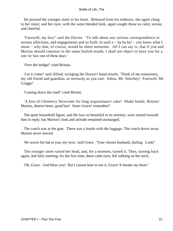He pressed the younger sister to his heart. Released from his embrace, she again clung to her sister; and her eyes, with the same blended look, again sought those so calm, serene, and cheerful.

 'Farewell, my boy!' said the Doctor. 'To talk about any serious correspondence or serious affections, and engagements and so forth, in such a − ha ha ha! – you know what I mean − why that, of course, would be sheer nonsense. All I can say is, that if you and Marion should continue in the same foolish minds, I shall not object to have you for a son−in−law one of these days.'

'Over the bridge!' cried Britain.

 'Let it come!' said Alfred, wringing the Doctor's hand stoutly. 'Think of me sometimes, my old friend and guardian, as seriously as you can! Adieu, Mr. Snitchey! Farewell, Mr. Craggs!'

'Coming down the road!' cried Britain.

 'A kiss of Clemency Newcome for long acquaintance' sake! Shake hands, Britain! Marion, dearest heart, good bye! Sister Grace! remember!'

 The quiet household figure, and the face so beautiful in its serenity, were turned towards him in reply; but Marion's look and attitude remained unchanged.

 The coach was at the gate. There was a bustle with the luggage. The coach drove away. Marion never moved.

'He waves his hat to you, my love,' said Grace. 'Your chosen husband, darling. Look!'

 The younger sister raised her head, and, for a moment, turned it. Then, turning back again, and fully meeting, for the first time, those calm eyes, fell sobbing on her neck.

'Oh, Grace. God bless you! But I cannot bear to see it, Grace! It breaks my heart.'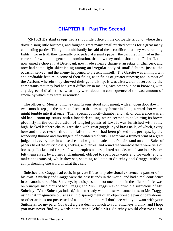## **[CHAPTER Ii − Part The Second](#page-72-0)**

*S*NITCHEY **And craggs** had a snug little office on the old Battle Ground, where they drove a snug little business, and fought a great many small pitched battles for a great many contending parties. Though it could hardly be said of these conflicts that they were running fights − for in truth they generally proceeded at a snail's pace − the part the Firm had in them came so far within the general denomination, that now they took a shot at this Plaintiff, and now aimed a chop at that Defendant, now made a heavy charge at an estate in Chancery, and now had some light skirmishing among an irregular body of small debtors, just as the occasion served, and the enemy happened to present himself. The Gazette was an important and profitable feature in some of their fields, as in fields of greater renown; and in most of the Actions wherein they showed their generalship, it was afterwards observed by the combatants that they had had great difficulty in making each other out, or in knowing with any degree of distinctness what they were about, in consequence of the vast amount of smoke by which they were surrounded.

 The offices of Messrs. Snitchey and Craggs stood convenient, with an open door down two smooth steps, in the market−place; so that any angry farmer inclining towards hot water, might tumble into it at once. Their special council−chamber and hall of conference was an old back−room up−stairs, with a low dark ceiling, which seemed to be knitting its brows gloomily in the consideration of tangled points of law. It was furnished with some high−backed leathern chairs, garnished with great goggle−eyed brass nails, of which, every here and there, two or three had fallen out − or had been picked out, perhaps, by the wandering thumbs and forefingers of bewildered clients. There was a framed print of a great judge in it, every curl in whose dreadful wig had made a man's hair stand on end. Bales of papers filled the dusty closets, shelves, and tables; and round the wainscot there were tiers of boxes, padlocked and fireproof, with people's names painted outside, which anxious visitors felt themselves, by a cruel enchantment, obliged to spell backwards and forwards, and to make anagrams of, while they sat, seeming to listen to Snitchey and Craggs, without comprehending one word of what they said.

 Snitchey and Craggs had each, in private life as in professional existence, a partner of his own. Snitchey and Craggs were the best friends in the world, and had a real confidence in one another; but Mrs. Snitchey, by a dispensation not uncommon in the affairs of life, was on principle suspicious of Mr. Craggs; and Mrs. Craggs was on principle suspicious of Mr. Snitchey. 'Your Snitcheys indeed,' the latter lady would observe, sometimes, to Mr. Craggs; using that imaginative plural as if in disparagement of an objectionable pair of pantaloons, or other articles not possessed of a singular number; 'I don't see what you want with your Snitcheys, for my part. You trust a great deal too much to your Snitcheys, I think, and I hope you may never find my words come true.' While Mrs. Snitchey would observe to Mr.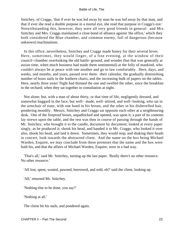Snitchey, of Craggs, 'that if ever he was led away by man he was led away by that man, and that if ever she read a double purpose in a mortal eye, she read that purpose in Craggs's eye.' Notwithstanding this, however, they were all very good friends in general: and Mrs. Snitchey and Mrs. Craggs maintained a close bond of alliance against 'the office,' which they both considered the Blue chamber, and common enemy, full of dangerous (because unknown) machinations.

 In this office, nevertheless, Snitchey and Craggs made honey for their several hives. Here, sometimes, they would linger, of a fine evening, at the window of their council−chamber overlooking the old battle−ground, and wonder (but that was generally at assize time, when much business had made them sentimental) at the folly of mankind, who couldn't always be at peace with one another and go to law comfortably. Here, days, and weeks, and months, and years, passed over them: their calendar, the gradually diminishing number of brass nails in the leathern chairs, and the increasing bulk of papers on the tables. Here, nearly three years' flight had thinned the one and swelled the other, since the breakfast in the orchard; when they sat together in consultation at night.

 Not alone; but, with a man of about thirty, or that time of life, negligently dressed, and somewhat haggard in the face, but well− made, well−attired, and well−looking, who sat in the armchair of state, with one hand in his breast, and the other in his dishevelled hair, pondering moodily. Messrs. Snitchey and Craggs sat opposite each other at a neighbouring desk. One of the fireproof boxes, unpadlocked and opened, was upon it; a part of its contents lay strewn upon the table, and the rest was then in course of passing through the hands of Mr. Snitchey; who brought it to the candle, document by document; looked at every paper singly, as he produced it; shook his head, and handed it to Mr. Craggs; who looked it over also, shook his head, and laid it down. Sometimes, they would stop, and shaking their heads in concert, look towards the abstracted client. And the name on the box being Michael Warden, Esquire, we may conclude from these premises that the name and the box were both his, and that the affairs of Michael Warden, Esquire, were in a bad way.

 'That's all,' said Mr. Snitchey, turning up the last paper. 'Really there's no other resource. No other resource.'

'All lost, spent, wasted, pawned, borrowed, and sold, eh?' said the client, looking up.

'All,' returned Mr. Snitchey.

'Nothing else to be done, you say?'

'Nothing at all.'

The client bit his nails, and pondered again.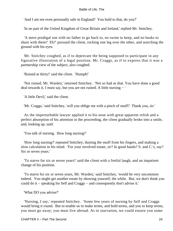'And I am not even personally safe in England? You hold to that, do you?'

'In no part of the United Kingdom of Great Britain and Ireland,' replied Mr. Snitchey.

 'A mere prodigal son with no father to go back to, no swine to keep, and no husks to share with them? Eh?' pursued the client, rocking one leg over the other, and searching the ground with his eyes.

 Mr. Snitchey coughed, as if to deprecate the being supposed to participate in any figurative illustration of a legal position. Mr. Craggs, as if to express that it was a partnership view of the subject, also coughed.

'Ruined at thirty!' said the client. 'Humph!'

 'Not ruined, Mr. Warden,' returned Snitchey. 'Not so bad as that. You have done a good deal towards it, I must say, but you are not ruined. A little nursing − '

'A little Devil,' said the client.

'Mr. Craggs,' said Snitchey, 'will you oblige me with a pinch of snuff? Thank you, sir.'

 As the imperturbable lawyer applied it to his nose with great apparent relish and a perfect absorption of his attention in the proceeding, the client gradually broke into a smile, and, looking up, said:

'You talk of nursing. How long nursing?'

 'How long nursing?' repeated Snitchey, dusting the snuff from his fingers, and making a slow calculation in his mind. 'For your involved estate, sir? In good hands? S. and C.'s, say? Six or seven years.'

 'To starve for six or seven years!' said the client with a fretful laugh, and an impatient change of his position.

 'To starve for six or seven years, Mr. Warden,' said Snitchey, 'would be very uncommon indeed. You might get another estate by showing yourself, the while. But, we don't think you could do it − speaking for Self and Craggs − and consequently don't advise it.'

'What DO you advise?'

 'Nursing, I say,' repeated Snitchey. 'Some few years of nursing by Self and Craggs would bring it round. But to enable us to make terms, and hold terms, and you to keep terms, you must go away; you must live abroad. As to starvation, we could ensure you some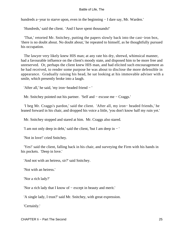hundreds a−year to starve upon, even in the beginning − I dare say, Mr. Warden.'

'Hundreds,' said the client. 'And I have spent thousands!'

 'That,' retorted Mr. Snitchey, putting the papers slowly back into the cast−iron box, 'there is no doubt about. No doubt about,' he repeated to himself, as he thoughtfully pursued his occupation.

 The lawyer very likely knew HIS man; at any rate his dry, shrewd, whimsical manner, had a favourable influence on the client's moody state, and disposed him to be more free and unreserved. Or, perhaps the client knew HIS man, and had elicited such encouragement as he had received, to render some purpose he was about to disclose the more defensible in appearance. Gradually raising his head, he sat looking at his immovable adviser with a smile, which presently broke into a laugh.

'After all,' he said, 'my iron−headed friend − '

Mr. Snitchey pointed out his partner. 'Self and − excuse me − Craggs.'

 'I beg Mr. Craggs's pardon,' said the client. 'After all, my iron− headed friends,' he leaned forward in his chair, and dropped his voice a little, 'you don't know half my ruin yet.'

Mr. Snitchey stopped and stared at him. Mr. Craggs also stared.

'I am not only deep in debt,' said the client, 'but I am deep in − '

'Not in love!' cried Snitchey.

 'Yes!' said the client, falling back in his chair, and surveying the Firm with his hands in his pockets. 'Deep in love.'

'And not with an heiress, sir?' said Snitchey.

'Not with an heiress.'

'Nor a rich lady?'

'Nor a rich lady that I know of − except in beauty and merit.'

'A single lady, I trust?' said Mr. Snitchey, with great expression.

'Certainly.'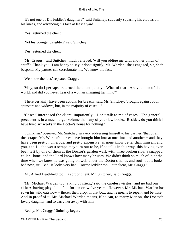'It's not one of Dr. Jeddler's daughters?' said Snitchey, suddenly squaring his elbows on his knees, and advancing his face at least a yard.

'Yes!' returned the client.

'Not his younger daughter?' said Snitchey.

'Yes!' returned the client.

 'Mr. Craggs,' said Snitchey, much relieved, 'will you oblige me with another pinch of snuff? Thank you! I am happy to say it don't signify, Mr. Warden; she's engaged, sir, she's bespoke. My partner can corroborate me. We know the fact.'

'We know the fact,' repeated Craggs.

 'Why, so do I perhaps,' returned the client quietly. 'What of that! Are you men of the world, and did you never hear of a woman changing her mind?'

 'There certainly have been actions for breach,' said Mr. Snitchey, 'brought against both spinsters and widows, but, in the majority of cases – '

 'Cases!' interposed the client, impatiently. 'Don't talk to me of cases. The general precedent is in a much larger volume than any of your law books. Besides, do you think I have lived six weeks in the Doctor's house for nothing?'

 'I think, sir,' observed Mr. Snitchey, gravely addressing himself to his partner, 'that of all the scrapes Mr. Warden's horses have brought him into at one time and another − and they have been pretty numerous, and pretty expensive, as none know better than himself, and you, and I − the worst scrape may turn out to be, if he talks in this way, this having ever been left by one of them at the Doctor's garden wall, with three broken ribs, a snapped collar− bone, and the Lord knows how many bruises. We didn't think so much of it, at the time when we knew he was going on well under the Doctor's hands and roof; but it looks bad now, sir. Bad? It looks very bad. Doctor Jeddler too − our client, Mr. Craggs.'

'Mr. Alfred Heathfield too − a sort of client, Mr. Snitchey,' said Craggs.

 'Mr. Michael Warden too, a kind of client,' said the careless visitor, 'and no bad one either: having played the fool for ten or twelve years. However, Mr. Michael Warden has sown his wild oats now – there's their crop, in that box; and he means to repent and be wise. And in proof of it, Mr. Michael Warden means, if he can, to marry Marion, the Doctor's lovely daughter, and to carry her away with him.'

'Really, Mr. Craggs,' Snitchey began.

CHAPTER Ii − Part The Second 26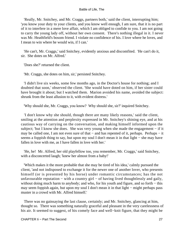'Really, Mr. Snitchey, and Mr. Craggs, partners both,' said the client, interrupting him; 'you know your duty to your clients, and you know well enough, I am sure, that it is no part of it to interfere in a mere love affair, which I am obliged to confide to you. I am not going to carry the young lady off, without her own consent. There's nothing illegal in it. I never was Mr. Heathfield's bosom friend. I violate no confidence of his. I love where he loves, and I mean to win where he would win, if I can.'

 'He can't, Mr. Craggs,' said Snitchey, evidently anxious and discomfited. 'He can't do it, sir. She dotes on Mr. Alfred.'

'Does she?' returned the client.

'Mr. Craggs, she dotes on him, sir,' persisted Snitchey.

 'I didn't live six weeks, some few months ago, in the Doctor's house for nothing; and I doubted that soon,' observed the client. 'She would have doted on him, if her sister could have brought it about; but I watched them. Marion avoided his name, avoided the subject: shrunk from the least allusion to it, with evident distress.'

'Why should she, Mr. Craggs, you know? Why should she, sir?' inquired Snitchey.

 'I don't know why she should, though there are many likely reasons,' said the client, smiling at the attention and perplexity expressed in Mr. Snitchey's shining eye, and at his cautious way of carrying on the conversation, and making himself informed upon the subject; 'but I know she does. She was very young when she made the engagement − if it may be called one, I am not even sure of that – and has repented of it, perhaps. Perhaps – it seems a foppish thing to say, but upon my soul I don't mean it in that light – she may have fallen in love with me, as I have fallen in love with her.'

 'He, he! Mr. Alfred, her old playfellow too, you remember, Mr. Craggs,' said Snitchey, with a disconcerted laugh; 'knew her almost from a baby!'

 'Which makes it the more probable that she may be tired of his idea,' calmly pursued the client, 'and not indisposed to exchange it for the newer one of another lover, who presents himself (or is presented by his horse) under romantic circumstances; has the not unfavourable reputation – with a country girl – of having lived thoughtlessly and gaily, without doing much harm to anybody; and who, for his youth and figure, and so forth – this may seem foppish again, but upon my soul I don't mean it in that light − might perhaps pass muster in a crowd with Mr. Alfred himself.'

 There was no gainsaying the last clause, certainly; and Mr. Snitchey, glancing at him, thought so. There was something naturally graceful and pleasant in the very carelessness of his air. It seemed to suggest, of his comely face and well−knit figure, that they might be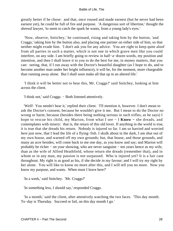greatly better if he chose: and that, once roused and made earnest (but he never had been earnest yet), he could be full of fire and purpose. 'A dangerous sort of libertine,' thought the shrewd lawyer, 'to seem to catch the spark he wants, from a young lady's eyes.'

 'Now, observe, Snitchey,' he continued, rising and taking him by the button, 'and Craggs,' taking him by the button also, and placing one partner on either side of him, so that neither might evade him. 'I don't ask you for any advice. You are right to keep quite aloof from all parties in such a matter, which is not one in which grave men like you could interfere, on any side. I am briefly going to review in half−a−dozen words, my position and intention, and then I shall leave it to you to do the best for me, in money matters, that you can: seeing, that, if I run away with the Doctor's beautiful daughter (as I hope to do, and to become another man under her bright influence), it will be, for the moment, more chargeable than running away alone. But I shall soon make all that up in an altered life.'

 'I think it will be better not to hear this, Mr. Craggs?' said Snitchey, looking at him across the client.

'I think not,' said Craggs. − Both listened attentively.

 'Well! You needn't hear it,' replied their client. 'I'll mention it, however. I don't mean to ask the Doctor's consent, because he wouldn't give it me. But I mean to do the Doctor no wrong or harm, because (besides there being nothing serious in such trifles, as he says) I hope to rescue his child, my Marion, from what I see − I **Know −** she dreads, and contemplates with misery: that is, the return of this old lover. If anything in the world is true, it is true that she dreads his return. Nobody is injured so far. I am so harried and worried here just now, that I lead the life of a flying−fish. I skulk about in the dark, I am shut out of my own house, and warned off my own grounds; but, that house, and those grounds, and many an acre besides, will come back to me one day, as you know and say; and Marion will probably be richer − on your showing, who are never sanguine − ten years hence as my wife, than as the wife of Alfred Heathfield, whose return she dreads (remember that), and in whom or in any man, my passion is not surpassed. Who is injured yet? It is a fair case throughout. My right is as good as his, if she decide in my favour; and I will try my right by her alone. You will like to know no more after this, and I will tell you no more. Now you know my purpose, and wants. When must I leave here?'

'In a week,' said Snitchey. 'Mr. Craggs?'

'In something less, I should say,' responded Craggs.

 'In a month,' said the client, after attentively watching the two faces. 'This day month. To−day is Thursday. Succeed or fail, on this day month I go.'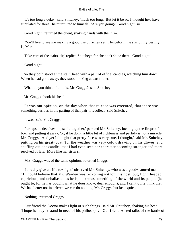'It's too long a delay,' said Snitchey; 'much too long. But let it be so. I thought he'd have stipulated for three,' he murmured to himself. 'Are you going? Good night, sir!'

'Good night!' returned the client, shaking hands with the Firm.

 'You'll live to see me making a good use of riches yet. Henceforth the star of my destiny is, Marion!'

'Take care of the stairs, sir,' replied Snitchey; 'for she don't shine there. Good night!'

'Good night!'

 So they both stood at the stair−head with a pair of office−candles, watching him down. When he had gone away, they stood looking at each other.

'What do you think of all this, Mr. Craggs?' said Snitchey.

Mr. Craggs shook his head.

 'It was our opinion, on the day when that release was executed, that there was something curious in the parting of that pair; I recollect,' said Snitchey.

'It was,' said Mr. Craggs.

 'Perhaps he deceives himself altogether,' pursued Mr. Snitchey, locking up the fireproof box, and putting it away; 'or, if he don't, a little bit of fickleness and perfidy is not a miracle, Mr. Craggs. And yet I thought that pretty face was very true. I thought,' said Mr. Snitchey, putting on his great−coat (for the weather was very cold), drawing on his gloves, and snuffing out one candle, 'that I had even seen her character becoming stronger and more resolved of late. More like her sister's.'

'Mrs. Craggs was of the same opinion,' returned Craggs.

 'I'd really give a trifle to−night,' observed Mr. Snitchey, who was a good−natured man, 'if I could believe that Mr. Warden was reckoning without his host; but, light−headed, capricious, and unballasted as he is, he knows something of the world and its people (he ought to, for he has bought what he does know, dear enough); and I can't quite think that. We had better not interfere: we can do nothing, Mr. Craggs, but keep quiet.'

'Nothing,' returned Craggs.

 'Our friend the Doctor makes light of such things,' said Mr. Snitchey, shaking his head. 'I hope he mayn't stand in need of his philosophy. Our friend Alfred talks of the battle of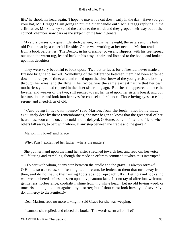life,' he shook his head again, 'I hope he mayn't be cut down early in the day. Have you got your hat, Mr. Craggs? I am going to put the other candle out.' Mr. Craggs replying in the affirmative, Mr. Snitchey suited the action to the word, and they groped their way out of the council−chamber, now dark as the subject, or the law in general.

 My story passes to a quiet little study, where, on that same night, the sisters and the hale old Doctor sat by a cheerful fireside. Grace was working at her needle. Marion read aloud from a book before her. The Doctor, in his dressing−gown and slippers, with his feet spread out upon the warm rug, leaned back in his easy− chair, and listened to the book, and looked upon his daughters.

 They were very beautiful to look upon. Two better faces for a fireside, never made a fireside bright and sacred. Something of the difference between them had been softened down in three years' time; and enthroned upon the clear brow of the younger sister, looking through her eyes, and thrilling in her voice, was the same earnest nature that her own motherless youth had ripened in the elder sister long ago. But she still appeared at once the lovelier and weaker of the two; still seemed to rest her head upon her sister's breast, and put her trust in her, and look into her eyes for counsel and reliance. Those loving eyes, so calm, serene, and cheerful, as of old.

 '«And being in her own home,»' read Marion, from the book; '«her home made exquisitely dear by these remembrances, she now began to know that the great trial of her heart must soon come on, and could not be delayed. O Home, our comforter and friend when others fall away, to part with whom, at any step between the cradle and the grave»'−

'Marion, my love!' said Grace.

'Why, Puss!' exclaimed her father, 'what's the matter?'

 She put her hand upon the hand her sister stretched towards her, and read on; her voice still faltering and trembling, though she made an effort to command it when thus interrupted.

 '«To part with whom, at any step between the cradle and the grave, is always sorrowful. O Home, so true to us, so often slighted in return, be lenient to them that turn away from thee, and do not haunt their erring footsteps too reproachfully! Let no kind looks, no well−remembered smiles, be seen upon thy phantom face. Let no ray of affection, welcome, gentleness, forbearance, cordiality, shine from thy white head. Let no old loving word, or tone, rise up in judgment against thy deserter; but if thou canst look harshly and severely, do, in mercy to the Penitent!»'

'Dear Marion, read no more to−night,' said Grace for she was weeping.

'I cannot,' she replied, and closed the book. 'The words seem all on fire!'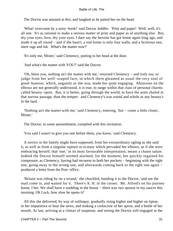The Doctor was amused at this; and laughed as he patted her on the head.

 'What! overcome by a story−book!' said Doctor Jeddler. 'Print and paper! Well, well, it's all one. It's as rational to make a serious matter of print and paper as of anything else. But, dry your eyes, love, dry your eyes. I dare say the heroine has got home again long ago, and made it up all round – and if she hasn't, a real home is only four walls; and a fictitious one, mere rags and ink. What's the matter now?'

'It's only me, Mister,' said Clemency, putting in her head at the door.

'And what's the matter with YOU?' said the Doctor.

 'Oh, bless you, nothing an't the matter with me,' returned Clemency − and truly too, to judge from her well−soaped face, in which there gleamed as usual the very soul of good−humour, which, ungainly as she was, made her quite engaging. Abrasions on the elbows are not generally understood, it is true, to range within that class of personal charms called beauty−spots. But, it is better, going through the world, to have the arms chafed in that narrow passage, than the temper: and Clemency's was sound and whole as any beauty's in the land.

 'Nothing an't the matter with me,' said Clemency, entering, 'but − come a little closer, Mister.'

The Doctor, in some astonishment, complied with this invitation.

'You said I wasn't to give you one before them, you know,' said Clemency.

 A novice in the family might have supposed, from her extraordinary ogling as she said it, as well as from a singular rapture or ecstasy which pervaded her elbows, as if she were embracing herself, that 'one,' in its most favourable interpretation, meant a chaste salute. Indeed the Doctor himself seemed alarmed, for the moment; but quickly regained his composure, as Clemency, having had recourse to both her pockets − beginning with the right one, going away to the wrong one, and afterwards coming back to the right one again − produced a letter from the Post−office.

 'Britain was riding by on a errand,' she chuckled, handing it to the Doctor, 'and see the mail come in, and waited for it. There's A. H. in the corner. Mr. Alfred's on his journey home, I bet. We shall have a wedding in the house – there was two spoons in my saucer this morning. Oh Luck, how slow he opens it!'

 All this she delivered, by way of soliloquy, gradually rising higher and higher on tiptoe, in her impatience to hear the news, and making a corkscrew of her apron, and a bottle of her mouth. At last, arriving at a climax of suspense, and seeing the Doctor still engaged in the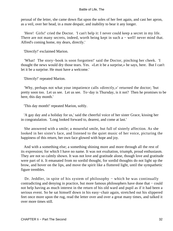perusal of the letter, she came down flat upon the soles of her feet again, and cast her apron, as a veil, over her head, in a mute despair, and inability to bear it any longer.

 'Here! Girls!' cried the Doctor. 'I can't help it: I never could keep a secret in my life. There are not many secrets, indeed, worth being kept in such a − well! never mind that. Alfred's coming home, my dears, directly.'

'Directly!' exclaimed Marion.

 'What! The story−book is soon forgotten!' said the Doctor, pinching her cheek. 'I thought the news would dry those tears. Yes. «Let it be a surprise,» he says, here. But I can't let it be a surprise. He must have a welcome.'

'Directly!' repeated Marion.

 'Why, perhaps not what your impatience calls «directly,»' returned the doctor; 'but pretty soon too. Let us see. Let us see. To−day is Thursday, is it not? Then he promises to be here, this day month.'

'This day month!' repeated Marion, softly.

 'A gay day and a holiday for us,' said the cheerful voice of her sister Grace, kissing her in congratulation. 'Long looked forward to, dearest, and come at last.'

 She answered with a smile; a mournful smile, but full of sisterly affection. As she looked in her sister's face, and listened to the quiet music of her voice, picturing the happiness of this return, her own face glowed with hope and joy.

 And with a something else; a something shining more and more through all the rest of its expression; for which I have no name. It was not exultation, triumph, proud enthusiasm. They are not so calmly shown. It was not love and gratitude alone, though love and gratitude were part of it. It emanated from no sordid thought, for sordid thoughts do not light up the brow, and hover on the lips, and move the spirit like a fluttered light, until the sympathetic figure trembles.

Dr. Jeddler, in spite of his system of philosophy – which he was continually contradicting and denying in practice, but more famous philosophers have done that − could not help having as much interest in the return of his old ward and pupil as if it had been a serious event. So he sat himself down in his easy−chair again, stretched out his slippered feet once more upon the rug, read the letter over and over a great many times, and talked it over more times still.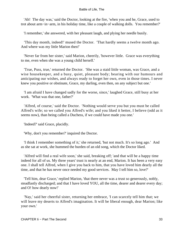'Ah! The day was,' said the Doctor, looking at the fire, 'when you and he, Grace, used to trot about arm−in−arm, in his holiday time, like a couple of walking dolls. You remember?'

'I remember,' she answered, with her pleasant laugh, and plying her needle busily.

 'This day month, indeed!' mused the Doctor. 'That hardly seems a twelve month ago. And where was my little Marion then!'

 'Never far from her sister,' said Marion, cheerily, 'however little. Grace was everything to me, even when she was a young child herself.'

 'True, Puss, true,' returned the Doctor. 'She was a staid little woman, was Grace, and a wise housekeeper, and a busy, quiet, pleasant body; bearing with our humours and anticipating our wishes, and always ready to forget her own, even in those times. I never knew you positive or obstinate, Grace, my darling, even then, on any subject but one.'

 'I am afraid I have changed sadly for the worse, since,' laughed Grace, still busy at her work. 'What was that one, father?'

 'Alfred, of course,' said the Doctor. 'Nothing would serve you but you must be called Alfred's wife; so we called you Alfred's wife; and you liked it better, I believe (odd as it seems now), than being called a Duchess, if we could have made you one.'

'Indeed?' said Grace, placidly.

'Why, don't you remember?' inquired the Doctor.

 'I think I remember something of it,' she returned, 'but not much. It's so long ago.' And as she sat at work, she hummed the burden of an old song, which the Doctor liked.

 'Alfred will find a real wife soon,' she said, breaking off; 'and that will be a happy time indeed for all of us. My three years' trust is nearly at an end, Marion. It has been a very easy one. I shall tell Alfred, when I give you back to him, that you have loved him dearly all the time, and that he has never once needed my good services. May I tell him so, love?'

 'Tell him, dear Grace,' replied Marion, 'that there never was a trust so generously, nobly, steadfastly discharged; and that I have loved YOU, all the time, dearer and dearer every day; and O! how dearly now!'

 'Nay,' said her cheerful sister, returning her embrace, 'I can scarcely tell him that; we will leave my deserts to Alfred's imagination. It will be liberal enough, dear Marion; like your own.'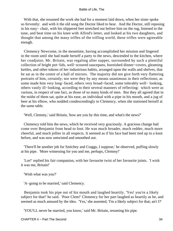With that, she resumed the work she had for a moment laid down, when her sister spoke so fervently: and with it the old song the Doctor liked to hear. And the Doctor, still reposing in his easy− chair, with his slippered feet stretched out before him on the rug, listened to the tune, and beat time on his knee with Alfred's letter, and looked at his two daughters, and thought that among the many trifles of the trifling world, these trifles were agreeable enough.

 Clemency Newcome, in the meantime, having accomplished her mission and lingered in the room until she had made herself a party to the news, descended to the kitchen, where her coadjutor, Mr. Britain, was regaling after supper, surrounded by such a plentiful collection of bright pot−lids, well−scoured saucepans, burnished dinner−covers, gleaming kettles, and other tokens of her industrious habits, arranged upon the walls and shelves, that he sat as in the centre of a hall of mirrors. The majority did not give forth very flattering portraits of him, certainly; nor were they by any means unanimous in their reflections; as some made him very long−faced, others very broad−faced, some tolerably well− looking, others vastly ill−looking, according to their several manners of reflecting: which were as various, in respect of one fact, as those of so many kinds of men. But they all agreed that in the midst of them sat, quite at his ease, an individual with a pipe in his mouth, and a jug of beer at his elbow, who nodded condescendingly to Clemency, when she stationed herself at the same table.

'Well, Clemmy,' said Britain, 'how are you by this time, and what's the news?'

 Clemency told him the news, which he received very graciously. A gracious change had come over Benjamin from head to foot. He was much broader, much redder, much more cheerful, and much jollier in all respects. It seemed as if his face had been tied up in a knot before, and was now untwisted and smoothed out.

 'There'll be another job for Snitchey and Craggs, I suppose,' he observed, puffing slowly at his pipe. 'More witnessing for you and me, perhaps, Clemmy!'

 'Lor!' replied his fair companion, with her favourite twist of her favourite joints. 'I wish it was me, Britain!'

'Wish what was you?'

'A−going to be married,' said Clemency.

 Benjamin took his pipe out of his mouth and laughed heartily. 'Yes! you're a likely subject for that!' he said. 'Poor Clem!' Clemency for her part laughed as heartily as he, and seemed as much amused by the idea. 'Yes,' she assented, 'I'm a likely subject for that; an't I?'

'YOU'LL never be married, you know,' said Mr. Britain, resuming his pipe.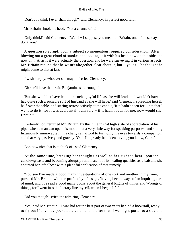'Don't you think I ever shall though?' said Clemency, in perfect good faith.

Mr. Britain shook his head. 'Not a chance of it!'

 'Only think!' said Clemency. 'Well! − I suppose you mean to, Britain, one of these days; don't you?'

 A question so abrupt, upon a subject so momentous, required consideration. After blowing out a great cloud of smoke, and looking at it with his head now on this side and now on that, as if it were actually the question, and he were surveying it in various aspects, Mr. Britain replied that he wasn't altogether clear about it, but − ye−es − he thought he might come to that at last.

'I wish her joy, whoever she may be!' cried Clemency.

'Oh she'll have that,' said Benjamin, 'safe enough.'

 'But she wouldn't have led quite such a joyful life as she will lead, and wouldn't have had quite such a sociable sort of husband as she will have,' said Clemency, spreading herself half over the table, and staring retrospectively at the candle, 'if it hadn't been for – not that I went to do it, for it was accidental, I am sure − if it hadn't been for me; now would she, Britain?'

 'Certainly not,' returned Mr. Britain, by this time in that high state of appreciation of his pipe, when a man can open his mouth but a very little way for speaking purposes; and sitting luxuriously immovable in his chair, can afford to turn only his eyes towards a companion, and that very passively and gravely. 'Oh! I'm greatly beholden to you, you know, Clem.'

'Lor, how nice that is to think of!' said Clemency.

 At the same time, bringing her thoughts as well as her sight to bear upon the candle−grease, and becoming abruptly reminiscent of its healing qualities as a balsam, she anointed her left elbow with a plentiful application of that remedy.

 'You see I've made a good many investigations of one sort and another in my time,' pursued Mr. Britain, with the profundity of a sage, 'having been always of an inquiring turn of mind; and I've read a good many books about the general Rights of things and Wrongs of things, for I went into the literary line myself, when I began life.'

'Did you though!' cried the admiring Clemency.

 'Yes,' said Mr. Britain: 'I was hid for the best part of two years behind a bookstall, ready to fly out if anybody pocketed a volume; and after that, I was light porter to a stay and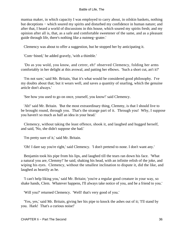mantua maker, in which capacity I was employed to carry about, in oilskin baskets, nothing but deceptions − which soured my spirits and disturbed my confidence in human nature; and after that, I heard a world of discussions in this house, which soured my spirits fresh; and my opinion after all is, that, as a safe and comfortable sweetener of the same, and as a pleasant guide through life, there's nothing like a nutmeg−grater.'

Clemency was about to offer a suggestion, but he stopped her by anticipating it.

'Com−bined,' he added gravely, 'with a thimble.'

 'Do as you wold, you know, and cetrer, eh!' observed Clemency, folding her arms comfortably in her delight at this avowal, and patting her elbows. 'Such a short cut, an't it?'

 'I'm not sure,' said Mr. Britain, 'that it's what would be considered good philosophy. I've my doubts about that; but it wears well, and saves a quantity of snarling, which the genuine article don't always.'

'See how you used to go on once, yourself, you know!' said Clemency.

 'Ah!' said Mr. Britain. 'But the most extraordinary thing, Clemmy, is that I should live to be brought round, through you. That's the strange part of it. Through you! Why, I suppose you haven't so much as half an idea in your head.'

 Clemency, without taking the least offence, shook it, and laughed and hugged herself, and said, 'No, she didn't suppose she had.'

'I'm pretty sure of it,' said Mr. Britain.

'Oh! I dare say you're right,' said Clemency. 'I don't pretend to none. I don't want any.'

 Benjamin took his pipe from his lips, and laughed till the tears ran down his face. 'What a natural you are, Clemmy!' he said, shaking his head, with an infinite relish of the joke, and wiping his eyes. Clemency, without the smallest inclination to dispute it, did the like, and laughed as heartily as he.

 'I can't help liking you,' said Mr. Britain; 'you're a regular good creature in your way, so shake hands, Clem. Whatever happens, I'll always take notice of you, and be a friend to you.'

'Will you?' returned Clemency. 'Well! that's very good of you.'

 'Yes, yes,' said Mr. Britain, giving her his pipe to knock the ashes out of it; 'I'll stand by you. Hark! That's a curious noise!'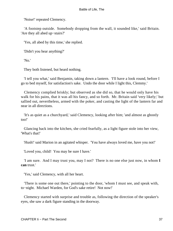'Noise!' repeated Clemency.

 'A footstep outside. Somebody dropping from the wall, it sounded like,' said Britain. 'Are they all abed up−stairs?'

'Yes, all abed by this time,' she replied.

'Didn't you hear anything?'

'No.'

They both listened, but heard nothing.

 'I tell you what,' said Benjamin, taking down a lantern. 'I'll have a look round, before I go to bed myself, for satisfaction's sake. Undo the door while I light this, Clemmy.'

 Clemency complied briskly; but observed as she did so, that he would only have his walk for his pains, that it was all his fancy, and so forth. Mr. Britain said 'very likely;' but sallied out, nevertheless, armed with the poker, and casting the light of the lantern far and near in all directions.

 'It's as quiet as a churchyard,' said Clemency, looking after him; 'and almost as ghostly too!'

 Glancing back into the kitchen, she cried fearfully, as a light figure stole into her view, 'What's that!'

'Hush!' said Marion in an agitated whisper. 'You have always loved me, have you not!'

'Loved you, child! You may be sure I have.'

 'I am sure. And I may trust you, may I not? There is no one else just now, in whom **I can** trust.'

'Yes,' said Clemency, with all her heart.

 'There is some one out there,' pointing to the door, 'whom I must see, and speak with, to−night. Michael Warden, for God's sake retire! Not now!'

 Clemency started with surprise and trouble as, following the direction of the speaker's eyes, she saw a dark figure standing in the doorway.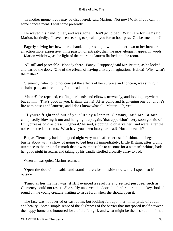'In another moment you may be discovered,' said Marion. 'Not now! Wait, if you can, in some concealment. I will come presently.'

 He waved his hand to her, and was gone. 'Don't go to bed. Wait here for me!' said Marion, hurriedly. 'I have been seeking to speak to you for an hour past. Oh, be true to me!'

 Eagerly seizing her bewildered hand, and pressing it with both her own to her breast − an action more expressive, in its passion of entreaty, than the most eloquent appeal in words, − Marion withdrew; as the light of the returning lantern flashed into the room.

 'All still and peaceable. Nobody there. Fancy, I suppose,' said Mr. Britain, as he locked and barred the door. 'One of the effects of having a lively imagination. Halloa! Why, what's the matter?'

 Clemency, who could not conceal the effects of her surprise and concern, was sitting in a chair: pale, and trembling from head to foot.

 'Matter!' she repeated, chafing her hands and elbows, nervously, and looking anywhere but at him. 'That's good in you, Britain, that is! After going and frightening one out of one's life with noises and lanterns, and I don't know what all. Matter! Oh, yes!'

 'If you're frightened out of your life by a lantern, Clemmy,' said Mr. Britain, composedly blowing it out and hanging it up again, 'that apparition's very soon got rid of. But you're as bold as brass in general,' he said, stopping to observe her; 'and were, after the noise and the lantern too. What have you taken into your head? Not an idea, eh?'

 But, as Clemency bade him good night very much after her usual fashion, and began to bustle about with a show of going to bed herself immediately, Little Britain, after giving utterance to the original remark that it was impossible to account for a woman's whims, bade her good night in return, and taking up his candle strolled drowsily away to bed.

When all was quiet, Marion returned.

 'Open the door,' she said; 'and stand there close beside me, while I speak to him, outside.'

 Timid as her manner was, it still evinced a resolute and settled purpose, such as Clemency could not resist. She softly unbarred the door: but before turning the key, looked round on the young creature waiting to issue forth when she should open it.

 The face was not averted or cast down, but looking full upon her, in its pride of youth and beauty. Some simple sense of the slightness of the barrier that interposed itself between the happy home and honoured love of the fair girl, and what might be the desolation of that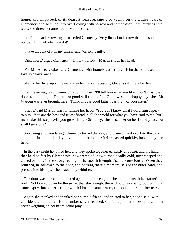home, and shipwreck of its dearest treasure, smote so keenly on the tender heart of Clemency, and so filled it to overflowing with sorrow and compassion, that, bursting into tears, she threw her arms round Marion's neck.

 'It's little that I know, my dear,' cried Clemency, 'very little; but I know that this should not be. Think of what you do!'

'I have thought of it many times,' said Marion, gently.

'Once more,' urged Clemency. 'Till to−morrow.' Marion shook her head.

 'For Mr. Alfred's sake,' said Clemency, with homely earnestness. 'Him that you used to love so dearly, once!'

She hid her face, upon the instant, in her hands, repeating 'Once!' as if it rent her heart.

 'Let me go out,' said Clemency, soothing her. 'I'll tell him what you like. Don't cross the door−step to−night. I'm sure no good will come of it. Oh, it was an unhappy day when Mr. Warden was ever brought here! Think of your good father, darling − of your sister.'

 'I have,' said Marion, hastily raising her head. 'You don't know what I do. **I must** speak to him. You are the best and truest friend in all the world for what you have said to me, but I must take this step. Will you go with me, Clemency,' she kissed her on her friendly face, 'or shall I go alone?'

 Sorrowing and wondering, Clemency turned the key, and opened the door. Into the dark and doubtful night that lay beyond the threshold, Marion passed quickly, holding by her hand.

 In the dark night he joined her, and they spoke together earnestly and long; and the hand that held so fast by Clemeney's, now trembled, now turned deadly cold, now clasped and closed on hers, in the strong feeling of the speech it emphasised unconsciously. When they returned, he followed to the door, and pausing there a moment, seized the other hand, and pressed it to his lips. Then, stealthily withdrew.

 The door was barred and locked again, and once again she stood beneath her father's roof. Not bowed down by the secret that she brought there, though so young; but, with that same expression on her face for which I had no name before, and shining through her tears.

 Again she thanked and thanked her humble friend, and trusted to her, as she said, with confidence, implicitly. Her chamber safely reached, she fell upon her knees; and with her secret weighing on her heart, could pray!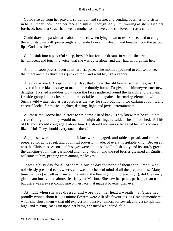Could rise up from her prayers, so tranquil and serene, and bending over her fond sister in her slumber, look upon her face and smile − though sadly: murmuring as she kissed her forehead, how that Grace had been a mother to her, ever, and she loved her as a child!

 Could draw the passive arm about her neck when lying down to rest − it seemed to cling there, of its own will, protectingly and tenderly even in sleep − and breathe upon the parted lips, God bless her!

 Could sink into a peaceful sleep, herself; but for one dream, in which she cried out, in her innocent and touching voice, that she was quite alone, and they had all forgotten her.

 A month soon passes, even at its tardiest pace. The month appointed to elapse between that night and the return, was quick of foot, and went by, like a vapour.

 The day arrived. A raging winter day, that shook the old house, sometimes, as if it shivered in the blast. A day to make home doubly home. To give the chimney−corner new delights. To shed a ruddier glow upon the faces gathered round the hearth, and draw each fireside group into a closer and more social league, against the roaring elements without. Such a wild winter day as best prepares the way for shut−out night; for curtained rooms, and cheerful looks; for music, laughter, dancing, light, and jovial entertainment!

 All these the Doctor had in store to welcome Alfred back. They knew that he could not arrive till night; and they would make the night air ring, he said, as he approached. All his old friends should congregate about him. He should not miss a face that he had known and liked. No! They should every one be there!

 So, guests were bidden, and musicians were engaged, and tables spread, and floors prepared for active feet, and bountiful provision made, of every hospitable kind. Because it was the Christmas season, and his eyes were all unused to English holly and its sturdy green, the dancing−room was garlanded and hung with it; and the red berries gleamed an English welcome to him, peeping from among the leaves.

 It was a busy day for all of them: a busier day for none of them than Grace, who noiselessly presided everywhere, and was the cheerful mind of all the preparations. Many a time that day (as well as many a time within the fleeting month preceding it), did Clemency glance anxiously, and almost fearfully, at Marion. She saw her paler, perhaps, than usual; but there was a sweet composure on her face that made it lovelier than ever.

 At night when she was dressed, and wore upon her head a wreath that Grace had proudly twined about it − its mimic flowers were Alfred's favourites, as Grace remembered when she chose them − that old expression, pensive, almost sorrowful, and yet so spiritual, high, and stirring, sat again upon her brow, enhanced a hundred−fold.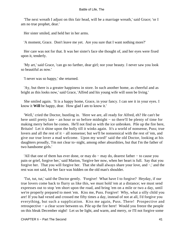'The next wreath I adjust on this fair head, will be a marriage wreath,' said Grace; 'or I am no true prophet, dear.'

Her sister smiled, and held her in her arms.

'A moment, Grace. Don't leave me yet. Are you sure that I want nothing more?'

 Her care was not for that. It was her sister's face she thought of, and her eyes were fixed upon it, tenderly.

 'My art,' said Grace, 'can go no farther, dear girl; nor your beauty. I never saw you look so beautiful as now.'

'I never was so happy,' she returned.

 'Ay, but there is a greater happiness in store. In such another home, as cheerful and as bright as this looks now,' said Grace, 'Alfred and his young wife will soon be living.'

 She smiled again. 'It is a happy home, Grace, in your fancy. I can see it in your eyes. I know it **Will** be happy, dear. How glad I am to know it.'

 'Well,' cried the Doctor, bustling in. 'Here we are, all ready for Alfred, eh? He can't be here until pretty late − an hour or so before midnight − so there'll be plenty of time for making merry before he comes. He'll not find us with the ice unbroken. Pile up the fire here, Britain! Let it shine upon the holly till it winks again. It's a world of nonsense, Puss; true lovers and all the rest of it − all nonsense; but we'll be nonsensical with the rest of 'em, and give our true lover a mad welcome. Upon my word!' said the old Doctor, looking at his daughters proudly, 'I'm not clear to−night, among other absurdities, but that I'm the father of two handsome girls.'

 'All that one of them has ever done, or may do − may do, dearest father − to cause you pain or grief, forgive her,' said Marion, 'forgive her now, when her heart is full. Say that you forgive her. That you will forgive her. That she shall always share your love, and −,' and the rest was not said, for her face was hidden on the old man's shoulder.

 'Tut, tut, tut,' said the Doctor gently. 'Forgive! What have I to forgive? Heyday, if our true lovers come back to flurry us like this, we must hold 'em at a distance; we must send expresses out to stop 'em short upon the road, and bring 'em on a mile or two a day, until we're properly prepared to meet 'em. Kiss me, Puss. Forgive! Why, what a silly child you are! If you had vexed and crossed me fifty times a day, instead of not at all, I'd forgive you everything, but such a supplication. Kiss me again, Puss. There! Prospective and retrospective − a clear score between us. Pile up the fire here! Would you freeze the people on this bleak December night! Let us be light, and warm, and merry, or I'll not forgive some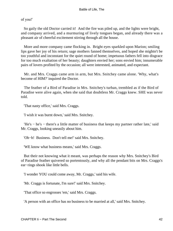of you!'

 So gaily the old Doctor carried it! And the fire was piled up, and the lights were bright, and company arrived, and a murmuring of lively tongues began, and already there was a pleasant air of cheerful excitement stirring through all the house.

 More and more company came flocking in. Bright eyes sparkled upon Marion; smiling lips gave her joy of his return; sage mothers fanned themselves, and hoped she mightn't be too youthful and inconstant for the quiet round of home; impetuous fathers fell into disgrace for too much exaltation of her beauty; daughters envied her; sons envied him; innumerable pairs of lovers profited by the occasion; all were interested, animated, and expectant.

 Mr. and Mrs. Craggs came arm in arm, but Mrs. Snitchey came alone. 'Why, what's become of HIM?' inquired the Doctor.

 The feather of a Bird of Paradise in Mrs. Snitchey's turban, trembled as if the Bird of Paradise were alive again, when she said that doubtless Mr. Craggs knew. SHE was never told.

'That nasty office,' said Mrs. Craggs.

'I wish it was burnt down,' said Mrs. Snitchey.

 'He's − he's − there's a little matter of business that keeps my partner rather late,' said Mr. Craggs, looking uneasily about him.

'Oh−h! Business. Don't tell me!' said Mrs. Snitchey.

'WE know what business means,' said Mrs. Craggs.

 But their not knowing what it meant, was perhaps the reason why Mrs. Snitchey's Bird of Paradise feather quivered so portentously, and why all the pendant bits on Mrs. Craggs's ear−rings shook like little bells.

'I wonder YOU could come away, Mr. Craggs,' said his wife.

'Mr. Craggs is fortunate, I'm sure!' said Mrs. Snitchey.

'That office so engrosses 'em,' said Mrs. Craggs.

'A person with an office has no business to be married at all,' said Mrs. Snitchey.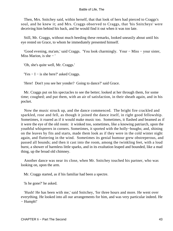Then, Mrs. Snitchey said, within herself, that that look of hers had pierced to Craggs's soul, and he knew it; and Mrs. Craggs observed to Craggs, that 'his Snitcheys' were deceiving him behind his back, and he would find it out when it was too late.

 Still, Mr. Craggs, without much heeding these remarks, looked uneasily about until his eye rested on Grace, to whom he immediately presented himself.

 'Good evening, ma'am,' said Craggs. 'You look charmingly. Your − Miss − your sister, Miss Marion, is she  $-$  '

'Oh, she's quite well, Mr. Craggs.'

'Yes − I − is she here?' asked Craggs.

'Here! Don't you see her yonder? Going to dance?' said Grace.

 Mr. Craggs put on his spectacles to see the better; looked at her through them, for some time; coughed; and put them, with an air of satisfaction, in their sheath again, and in his pocket.

 Now the music struck up, and the dance commenced. The bright fire crackled and sparkled, rose and fell, as though it joined the dance itself, in right good fellowship. Sometimes, it roared as if it would make music too. Sometimes, it flashed and beamed as if it were the eye of the old room: it winked too, sometimes, like a knowing patriarch, upon the youthful whisperers in corners. Sometimes, it sported with the holly−boughs; and, shining on the leaves by fits and starts, made them look as if they were in the cold winter night again, and fluttering in the wind. Sometimes its genial humour grew obstreperous, and passed all bounds; and then it cast into the room, among the twinkling feet, with a loud burst, a shower of harmless little sparks, and in its exultation leaped and bounded, like a mad thing, up the broad old chimney.

 Another dance was near its close, when Mr. Snitchey touched his partner, who was looking on, upon the arm.

Mr. Craggs started, as if his familiar had been a spectre.

'Is he gone?' he asked.

 'Hush! He has been with me,' said Snitchey, 'for three hours and more. He went over everything. He looked into all our arrangements for him, and was very particular indeed. He − Humph!'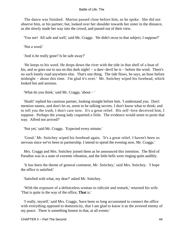The dance was finished. Marion passed close before him, as he spoke. She did not observe him, or his partner; but, looked over her shoulder towards her sister in the distance, as she slowly made her way into the crowd, and passed out of their view.

'You see! All safe and well,' said Mr. Craggs. 'He didn't recur to that subject, I suppose?'

'Not a word.'

'And is he really gone? Is he safe away?'

 'He keeps to his word. He drops down the river with the tide in that shell of a boat of his, and so goes out to sea on this dark night! – a dare–devil he is – before the wind. There's no such lonely road anywhere else. That's one thing. The tide flows, he says, an hour before midnight − about this time. I'm glad it's over.' Mr. Snitchey wiped his forehead, which looked hot and anxious.

'What do you think,' said Mr. Craggs, 'about − '

 'Hush!' replied his cautious partner, looking straight before him. 'I understand you. Don't mention names, and don't let us, seem to be talking secrets. I don't know what to think; and to tell you the truth, I don't care now. It's a great relief. His self−love deceived him, I suppose. Perhaps the young lady coquetted a little. The evidence would seem to point that way. Alfred not arrived?'

'Not yet,' said Mr. Craggs. 'Expected every minute.'

 'Good.' Mr. Snitchey wiped his forehead again. 'It's a great relief. I haven't been so nervous since we've been in partnership. I intend to spend the evening now, Mr. Craggs.'

 Mrs. Craggs and Mrs. Snitchey joined them as he announced this intention. The Bird of Paradise was in a state of extreme vibration, and the little bells were ringing quite audibly.

 'It has been the theme of general comment, Mr. Snitchey,' said Mrs. Snitchey. 'I hope the office is satisfied.'

'Satisfied with what, my dear?' asked Mr. Snitchey.

 'With the exposure of a defenceless woman to ridicule and remark,' returned his wife. 'That is quite in the way of the office, **That** is.'

 'I really, myself,' said Mrs. Craggs, 'have been so long accustomed to connect the office with everything opposed to domesticity, that I am glad to know it as the avowed enemy of my peace. There is something honest in that, at all events.'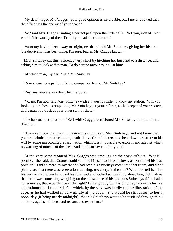'My dear,' urged Mr. Craggs, 'your good opinion is invaluable, but I never avowed that the office was the enemy of your peace.'

 'No,' said Mrs. Craggs, ringing a perfect peal upon the little bells. 'Not you, indeed. You wouldn't be worthy of the office, if you had the candour to.'

 'As to my having been away to−night, my dear,' said Mr. Snitchey, giving her his arm, 'the deprivation has been mine, I'm sure; but, as Mr. Craggs knows − '

 Mrs. Snitchey cut this reference very short by hitching her husband to a distance, and asking him to look at that man. To do her the favour to look at him!

'At which man, my dear?' said Mr. Snitchey.

'Your chosen companion; I'M no companion to you, Mr. Snitchey.'

'Yes, yes, you are, my dear,' he interposed.

 'No, no, I'm not,' said Mrs. Snitchey with a majestic smile. 'I know my station. Will you look at your chosen companion, Mr. Snitchey; at your referee, at the keeper of your secrets, at the man you trust; at your other self, in short?'

 The habitual association of Self with Craggs, occasioned Mr. Snitchey to look in that direction.

 'If you can look that man in the eye this night,' said Mrs. Snitchey, 'and not know that you are deluded, practised upon, made the victim of his arts, and bent down prostrate to his will by some unaccountable fascination which it is impossible to explain and against which no warning of mine is of the least avail, all I can say is − I pity you!'

 At the very same moment Mrs. Craggs was oracular on the cross subject. Was it possible, she said, that Craggs could so blind himself to his Snitcheys, as not to feel his true position? Did he mean to say that he had seen his Snitcheys come into that room, and didn't plainly see that there was reservation, cunning, treachery, in the man? Would he tell her that his very action, when he wiped his forehead and looked so stealthily about him, didn't show that there was something weighing on the conscience of his precious Snitcheys (if he had a conscience), that wouldn't bear the light? Did anybody but his Snitcheys come to festive entertainments like a burglar? – which, by the way, was hardly a clear illustration of the case, as he had walked in very mildly at the door. And would he still assert to her at noon−day (it being nearly midnight), that his Snitcheys were to be justified through thick and thin, against all facts, and reason, and experience?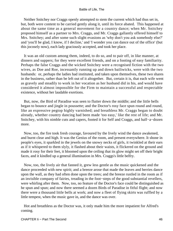Neither Snitchey nor Craggs openly attempted to stem the current which had thus set in, but, both were content to be carried gently along it, until its force abated. This happened at about the same time as a general movement for a country dance; when Mr. Snitchey proposed himself as a partner to Mrs. Craggs, and Mr. Craggs gallantly offered himself to Mrs. Snitchey; and after some such slight evasions as 'why don't you ask somebody else?' and 'you'll be glad, I know, if I decline,' and 'I wonder you can dance out of the office' (but this jocosely now), each lady graciously accepted, and took her place.

 It was an old custom among them, indeed, to do so, and to pair off, in like manner, at dinners and suppers; for they were excellent friends, and on a footing of easy familiarity. Perhaps the false Craggs and the wicked Snitchey were a recognised fiction with the two wives, as Doe and Roe, incessantly running up and down bailiwicks, were with the two husbands: or, perhaps the ladies had instituted, and taken upon themselves, these two shares in the business, rather than be left out of it altogether. But, certain it is, that each wife went as gravely and steadily to work in her vocation as her husband did in his, and would have considered it almost impossible for the Firm to maintain a successful and respectable existence, without her laudable exertions.

 But, now, the Bird of Paradise was seen to flutter down the middle; and the little bells began to bounce and jingle in poussette; and the Doctor's rosy face spun round and round, like an expressive pegtop highly varnished; and breathless Mr. Craggs began to doubt already, whether country dancing had been made 'too easy,' like the rest of life; and Mr. Snitchey, with his nimble cuts and capers, footed it for Self and Craggs, and half−a−dozen more.

 Now, too, the fire took fresh courage, favoured by the lively wind the dance awakened, and burnt clear and high. It was the Genius of the room, and present everywhere. It shone in people's eyes, it sparkled in the jewels on the snowy necks of girls, it twinkled at their ears as if it whispered to them slyly, it flashed about their waists, it flickered on the ground and made it rosy for their feet, it bloomed upon the ceiling that its glow might set off their bright faces, and it kindled up a general illumination in Mrs. Craggs's little belfry.

 Now, too, the lively air that fanned it, grew less gentle as the music quickened and the dance proceeded with new spirit; and a breeze arose that made the leaves and berries dance upon the wall, as they had often done upon the trees; and the breeze rustled in the room as if an invisible company of fairies, treading in the foot−steps of the good substantial revellers, were whirling after them. Now, too, no feature of the Doctor's face could be distinguished as he spun and spun; and now there seemed a dozen Birds of Paradise in fitful flight; and now there were a thousand little bells at work; and now a fleet of flying skirts was ruffled by a little tempest, when the music gave in, and the dance was over.

 Hot and breathless as the Doctor was, it only made him the more impatient for Alfred's coming.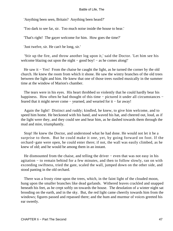'Anything been seen, Britain? Anything been heard?'

'Too dark to see far, sir. Too much noise inside the house to hear.'

'That's right! The gayer welcome for him. How goes the time?'

'Just twelve, sir. He can't be long, sir.'

 'Stir up the fire, and throw another log upon it,' said the Doctor. 'Let him see his welcome blazing out upon the night – good boy! – as he comes along!'

He saw it − Yes! From the chaise he caught the light, as he turned the corner by the old church. He knew the room from which it shone. He saw the wintry branches of the old trees between the light and him. He knew that one of those trees rustled musically in the summer time at the window of Marion's chamber.

 The tears were in his eyes. His heart throbbed so violently that he could hardly bear his happiness. How often he had thought of this time – pictured it under all circumstances – feared that it might never come − yearned, and wearied for it − far away!

 Again the light! Distinct and ruddy; kindled, he knew, to give him welcome, and to speed him home. He beckoned with his hand, and waved his hat, and cheered out, loud, as if the light were they, and they could see and hear him, as he dashed towards them through the mud and mire, triumphantly.

 Stop! He knew the Doctor, and understood what he had done. He would not let it be a surprise to them. But he could make it one, yet, by going forward on foot. If the orchard−gate were open, he could enter there; if not, the wall was easily climbed, as he knew of old; and he would be among them in an instant.

He dismounted from the chaise, and telling the driver – even that was not easy in his agitation − to remain behind for a few minutes, and then to follow slowly, ran on with exceeding swiftness, tried the gate, scaled the wall, jumped down on the other side, and stood panting in the old orchard.

 There was a frosty rime upon the trees, which, in the faint light of the clouded moon, hung upon the smaller branches like dead garlands. Withered leaves crackled and snapped beneath his feet, as he crept softly on towards the house. The desolation of a winter night sat brooding on the earth, and in the sky. But, the red light came cheerily towards him from the windows; figures passed and repassed there; and the hum and murmur of voices greeted his ear sweetly.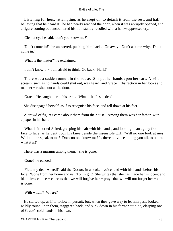Listening for hers: attempting, as he crept on, to detach it from the rest, and half believing that he heard it: he had nearly reached the door, when it was abruptly opened, and a figure coming out encountered his. It instantly recoiled with a half−suppressed cry.

'Clemency,' he said, 'don't you know me?'

 'Don't come in!' she answered, pushing him back. 'Go away. Don't ask me why. Don't come in.'

'What is the matter?' he exclaimed.

'I don't know. I − I am afraid to think. Go back. Hark!'

 There was a sudden tumult in the house. She put her hands upon her ears. A wild scream, such as no hands could shut out, was heard; and Grace – distraction in her looks and manner – rushed out at the door.

'Grace!' He caught her in his arms. 'What is it! Is she dead!'

She disengaged herself, as if to recognise his face, and fell down at his feet.

 A crowd of figures came about them from the house. Among them was her father, with a paper in his hand.

 'What is it!' cried Alfred, grasping his hair with his hands, and looking in an agony from face to face, as he bent upon his knee beside the insensible girl. 'Will no one look at me? Will no one speak to me? Does no one know me? Is there no voice among you all, to tell me what it is!'

There was a murmur among them. 'She is gone.'

'Gone!' he echoed.

 'Fled, my dear Alfred!' said the Doctor, in a broken voice, and with his hands before his face. 'Gone from her home and us. To− night! She writes that she has made her innocent and blameless choice − entreats that we will forgive her − prays that we will not forget her − and is gone.'

'With whom? Where?'

 He started up, as if to follow in pursuit; but, when they gave way to let him pass, looked wildly round upon them, staggered back, and sunk down in his former attitude, clasping one of Grace's cold hands in his own.

CHAPTER Ii − Part The Second 48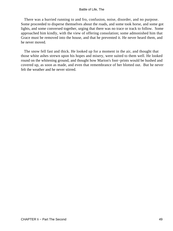There was a hurried running to and fro, confusion, noise, disorder, and no purpose. Some proceeded to disperse themselves about the roads, and some took horse, and some got lights, and some conversed together, urging that there was no trace or track to follow. Some approached him kindly, with the view of offering consolation; some admonished him that Grace must be removed into the house, and that he prevented it. He never heard them, and he never moved.

 The snow fell fast and thick. He looked up for a moment in the air, and thought that those white ashes strewn upon his hopes and misery, were suited to them well. He looked round on the whitening ground, and thought how Marion's foot−prints would be hushed and covered up, as soon as made, and even that remembrance of her blotted out. But he never felt the weather and he never stirred.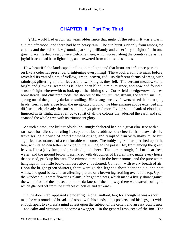# **[CHAPTER Iii − Part The Third](#page-72-0)**

**THE** world had grown six years older since that night of the return. It was a warm autumn afternoon, and there had been heavy rain. The sun burst suddenly from among the clouds; and the old battle− ground, sparkling brilliantly and cheerfully at sight of it in one green place, flashed a responsive welcome there, which spread along the country side as if a joyful beacon had been lighted up, and answered from a thousand stations.

 How beautiful the landscape kindling in the light, and that luxuriant influence passing on like a celestial presence, brightening everything! The wood, a sombre mass before, revealed its varied tints of yellow, green, brown, red: its different forms of trees, with raindrops glittering on their leaves and twinkling as they fell. The verdant meadow−land, bright and glowing, seemed as if it had been blind, a minute since, and now had found a sense of sight where−with to look up at the shining sky. Corn−fields, hedge−rows, fences, homesteads, and clustered roofs, the steeple of the church, the stream, the water−mill, all sprang out of the gloomy darkness smiling. Birds sang sweetly, flowers raised their drooping heads, fresh scents arose from the invigorated ground; the blue expanse above extended and diffused itself; already the sun's slanting rays pierced mortally the sullen bank of cloud that lingered in its flight; and a rainbow, spirit of all the colours that adorned the earth and sky, spanned the whole arch with its triumphant glory.

 At such a time, one little roadside Inn, snugly sheltered behind a great elm−tree with a rare seat for idlers encircling its capacious bole, addressed a cheerful front towards the traveller, as a house of entertainment ought, and tempted him with many mute but significant assurances of a comfortable welcome. The ruddy sign− board perched up in the tree, with its golden letters winking in the sun, ogled the passer−by, from among the green leaves, like a jolly face, and promised good cheer. The horse−trough, full of clear fresh water, and the ground below it sprinkled with droppings of fragrant hay, made every horse that passed, prick up his ears. The crimson curtains in the lower rooms, and the pure white hangings in the little bed−chambers above, beckoned, Come in! with every breath of air. Upon the bright green shutters, there were golden legends about beer and ale, and neat wines, and good beds; and an affecting picture of a brown jug frothing over at the top. Upon the window−sills were flowering plants in bright red pots, which made a lively show against the white front of the house; and in the darkness of the doorway there were streaks of light, which glanced off from the surfaces of bottles and tankards.

 On the door−step, appeared a proper figure of a landlord, too; for, though he was a short man, he was round and broad, and stood with his hands in his pockets, and his legs just wide enough apart to express a mind at rest upon the subject of the cellar, and an easy confidence − too calm and virtuous to become a swagger − in the general resources of the Inn. The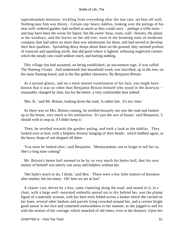superabundant moisture, trickling from everything after the late rain, set him off well. Nothing near him was thirsty. Certain top−heavy dahlias, looking over the palings of his neat well–ordered garden, had swilled as much as they could carry – perhaps a trifle more – and may have been the worse for liquor; but the sweet−briar, roses, wall− flowers, the plants at the windows, and the leaves on the old tree, were in the beaming state of moderate company that had taken no more than was wholesome for them, and had served to develop their best qualities. Sprinkling dewy drops about them on the ground, they seemed profuse of innocent and sparkling mirth, that did good where it lighted, softening neglected corners which the steady rain could seldom reach, and hurting nothing.

 This village Inn had assumed, on being established, an uncommon sign. It was called The Nutmeg−Grater. And underneath that household word, was inscribed, up in the tree, on the same flaming board, and in the like golden characters, By Benjamin Britain.

 At a second glance, and on a more minute examination of his face, you might have known that it was no other than Benjamin Britain himself who stood in the doorway − reasonably changed by time, but for the better; a very comfortable host indeed.

'Mrs. B.,' said Mr. Britain, looking down the road, 'is rather late. It's tea−time.'

 As there was no Mrs. Britain coming, he strolled leisurely out into the road and looked up at the house, very much to his satisfaction. 'It's just the sort of house,' said Benjamin, 'I should wish to stop at, if I didn't keep it.'

 Then, he strolled towards the garden−paling, and took a look at the dahlias. They looked over at him, with a helpless drowsy hanging of their heads: which bobbed again, as the heavy drops of wet dripped off them.

 'You must be looked after,' said Benjamin. 'Memorandum, not to forget to tell her so. She's a long time coming!'

 Mr. Britain's better half seemed to be by so very much his better half, that his own moiety of himself was utterly cast away and helpless without her.

 'She hadn't much to do, I think,' said Ben. 'There were a few little matters of business after market, but not many. Oh! here we are at last!'

 A chaise−cart, driven by a boy, came clattering along the road: and seated in it, in a chair, with a large well−saturated umbrella spread out to dry behind her, was the plump figure of a matronly woman, with her bare arms folded across a basket which she carried on her knee, several other baskets and parcels lying crowded around her, and a certain bright good nature in her face and contented awkwardness in her manner, as she jogged to and fro with the motion of her carriage, which smacked of old times, even in the distance. Upon her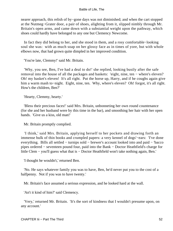nearer approach, this relish of by−gone days was not diminished; and when the cart stopped at the Nutmeg−Grater door, a pair of shoes, alighting from it, slipped nimbly through Mr. Britain's open arms, and came down with a substantial weight upon the pathway, which shoes could hardly have belonged to any one but Clemency Newcome.

 In fact they did belong to her, and she stood in them, and a rosy comfortable−looking soul she was: with as much soap on her glossy face as in times of yore, but with whole elbows now, that had grown quite dimpled in her improved condition.

'You're late, Clemmy!' said Mr. Britain.

 'Why, you see, Ben, I've had a deal to do!' she replied, looking busily after the safe removal into the house of all the packages and baskets: 'eight, nine, ten − where's eleven? Oh! my basket's eleven! It's all right. Put the horse up, Harry, and if he coughs again give him a warm mash to−night. Eight, nine, ten. Why, where's eleven? Oh! forgot, it's all right. How's the children, Ben?'

'Hearty, Clemmy, hearty.'

 'Bless their precious faces!' said Mrs. Britain, unbonneting her own round countenance (for she and her husband were by this time in the bar), and smoothing her hair with her open hands. 'Give us a kiss, old man!'

Mr. Britain promptly complied.

 'I think,' said Mrs. Britain, applying herself to her pockets and drawing forth an immense bulk of thin books and crumpled papers: a very kennel of dogs'−ears: 'I've done everything. Bills all settled − turnips sold − brewer's account looked into and paid − 'bacco pipes ordered − seventeen pound four, paid into the Bank − Doctor Heathfield's charge for little Clem − you'll guess what that is − Doctor Heathfield won't take nothing again, Ben.'

'I thought he wouldn't,' returned Ben.

 'No. He says whatever family you was to have, Ben, he'd never put you to the cost of a halfpenny. Not if you was to have twenty.'

Mr. Britain's face assumed a serious expression, and he looked hard at the wall.

'An't it kind of him?' said Clemency.

 'Very,' returned Mr. Britain. 'It's the sort of kindness that I wouldn't presume upon, on any account.'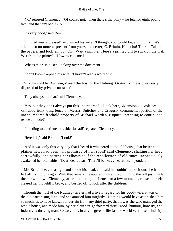'No,' retorted Clemency. 'Of course not. Then there's the pony − he fetched eight pound two; and that an't bad, is it?'

'It's very good,' said Ben.

 'I'm glad you're pleased!' exclaimed his wife. 'I thought you would be; and I think that's all, and so no more at present from yours and cetrer, C. Britain. Ha ha ha! There! Take all the papers, and lock 'em up. Oh! Wait a minute. Here's a printed bill to stick on the wall. Wet from the printer's. How nice it smells!'

'What's this?' said Ben, looking over the document.

'I don't know,' replied his wife. 'I haven't read a word of it.'

 '«To be sold by Auction,»' read the host of the Nutmeg−Grater, '«unless previously disposed of by private contract.»'

'They always put that,' said Clemency.

 'Yes, but they don't always put this,' he returned. 'Look here, «Mansion,» − «offices,» «shrubberies,» «ring fence,» «Messrs. Snitchey and Craggs,» «ornamental portion of the unencumbered freehold property of Michael Warden, Esquire, intending to continue to reside abroad»!'

'Intending to continue to reside abroad!' repeated Clemency.

'Here it is,' said Britain. 'Look!'

 'And it was only this very day that I heard it whispered at the old house, that better and plainer news had been half promised of her, soon!' said Clemency, shaking her head sorrowfully, and patting her elbows as if the recollection of old times unconsciously awakened her old habits. 'Dear, dear, dear! There'll be heavy hearts, Ben, yonder.'

 Mr. Britain heaved a sigh, and shook his head, and said he couldn't make it out: he had left off trying long ago. With that remark, he applied himself to putting up the bill just inside the bar window. Clemency, after meditating in silence for a few moments, roused herself, cleared her thoughtful brow, and bustled off to look after the children.

 Though the host of the Nutmeg−Grater had a lively regard for his good−wife, it was of the old patronising kind, and she amused him mightily. Nothing would have astonished him so much, as to have known for certain from any third party, that it was she who managed the whole house, and made him, by her plain straightforward thrift, good−humour, honesty, and industry, a thriving man. So easy it is, in any degree of life (as the world very often finds it),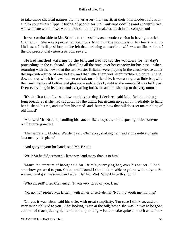to take those cheerful natures that never assert their merit, at their own modest valuation; and to conceive a flippant liking of people for their outward oddities and eccentricities, whose innate worth, if we would look so far, might make us blush in the comparison!

 It was comfortable to Mr. Britain, to think of his own condescension in having married Clemency. She was a perpetual testimony to him of the goodness of his heart, and the kindness of his disposition; and he felt that her being an excellent wife was an illustration of the old precept that virtue is its own reward.

 He had finished wafering up the bill, and had locked the vouchers for her day's proceedings in the cupboard − chuckling all the time, over her capacity for business − when, returning with the news that the two Master Britains were playing in the coach−house under the superintendence of one Betsey, and that little Clem was sleeping 'like a picture,' she sat down to tea, which had awaited her arrival, on a little table. It was a very neat little bar, with the usual display of bottles and glasses; a sedate clock, right to the minute (it was half−past five); everything in its place, and everything furbished and polished up to the very utmost.

 'It's the first time I've sat down quietly to−day, I declare,' said Mrs. Britain, taking a long breath, as if she had sat down for the night; but getting up again immediately to hand her husband his tea, and cut him his bread−and−butter; 'how that bill does set me thinking of old times!'

 'Ah!' said Mr. Britain, handling his saucer like an oyster, and disposing of its contents on the same principle.

 'That same Mr. Michael Warden,' said Clemency, shaking her head at the notice of sale, 'lost me my old place.'

'And got you your husband,' said Mr. Britain.

'Well! So he did,' retorted Clemency, 'and many thanks to him.'

 'Man's the creature of habit,' said Mr. Britain, surveying her, over his saucer. 'I had somehow got used to you, Clem; and I found I shouldn't be able to get on without you. So we went and got made man and wife. Ha! ha! We! Who'd have thought it!'

'Who indeed!' cried Clemency. 'It was very good of you, Ben.'

'No, no, no,' replied Mr. Britain, with an air of self−denial. 'Nothing worth mentioning.'

 'Oh yes it was, Ben,' said his wife, with great simplicity; 'I'm sure I think so, and am very much obliged to you. Ah!' looking again at the bill; 'when she was known to be gone, and out of reach, dear girl, I couldn't help telling − for her sake quite as much as theirs −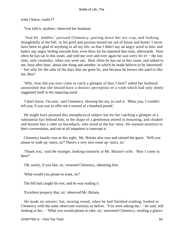what I knew, could I?'

'You told it, anyhow,' observed her husband.

 'And Dr. Jeddler,' pursued Clemency, putting down her tea−cup, and looking thoughtfully at the bill, 'in his grief and passion turned me out of house and home! I never have been so glad of anything in all my life, as that I didn't say an angry word to him, and hadn't any angry feeling towards him, even then; for he repented that truly, afterwards. How often he has sat in this room, and told me over and over again he was sorry for it! − the last time, only yesterday, when you were out. How often he has sat in this room, and talked to me, hour after hour, about one thing and another, in which he made believe to be interested! − but only for the sake of the days that are gone by, and because he knows she used to like me, Ben!'

 'Why, how did you ever come to catch a glimpse of that, Clem?' asked her husband: astonished that she should have a distinct perception of a truth which had only dimly suggested itself to his inquiring mind.

 'I don't know, I'm sure,' said Clemency, blowing her tea, to cool it. 'Bless you, I couldn't tell you, if you was to offer me a reward of a hundred pound.'

 He might have pursued this metaphysical subject but for her catching a glimpse of a substantial fact behind him, in the shape of a gentleman attired in mourning, and cloaked and booted like a rider on horseback, who stood at the bar−door. He seemed attentive to their conversation, and not at all impatient to interrupt it.

 Clemency hastily rose at this sight. Mr. Britain also rose and saluted the guest. 'Will you please to walk up−stairs, sir? There's a very nice room up−stairs, sir.'

 'Thank you,' said the stranger, looking earnestly at Mr. Britain's wife. 'May I come in here?'

'Oh, surely, if you like, sir,' returned Clemency, admitting him.

'What would you please to want, sir?'

The bill had caught his eye, and he was reading it.

'Excellent property that, sir,' observed Mr. Britain.

 He made no answer; but, turning round, when he had finished reading, looked at Clemency with the same observant curiosity as before. 'You were asking me,' − he said, still looking at her, – 'What you would please to take, sir,' answered Clemency, stealing a glance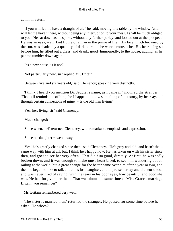at him in return.

 'If you will let me have a draught of ale,' he said, moving to a table by the window, 'and will let me have it here, without being any interruption to your meal, I shall be much obliged to you.' He sat down as he spoke, without any further parley, and looked out at the prospect. He was an easy, well−knit figure of a man in the prime of life. His face, much browned by the sun, was shaded by a quantity of dark hair; and he wore a moustache. His beer being set before him, he filled out a glass, and drank, good−humouredly, to the house; adding, as he put the tumbler down again:

'It's a new house, is it not?'

'Not particularly new, sir,' replied Mr. Britain.

'Between five and six years old,' said Clemency; speaking very distinctly.

 'I think I heard you mention Dr. Jeddler's name, as I came in,' inquired the stranger. 'That bill reminds me of him; for I happen to know something of that story, by hearsay, and through certain connexions of mine. − Is the old man living?'

'Yes, he's living, sir,' said Clemency.

'Much changed?'

'Since when, sir?' returned Clemency, with remarkable emphasis and expression.

'Since his daughter − went away.'

 'Yes! he's greatly changed since then,' said Clemency. 'He's grey and old, and hasn't the same way with him at all; but, I think he's happy now. He has taken on with his sister since then, and goes to see her very often. That did him good, directly. At first, he was sadly broken down; and it was enough to make one's heart bleed, to see him wandering about, railing at the world; but a great change for the better came over him after a year or two, and then he began to like to talk about his lost daughter, and to praise her, ay and the world too! and was never tired of saying, with the tears in his poor eyes, how beautiful and good she was. He had forgiven her then. That was about the same time as Miss Grace's marriage. Britain, you remember?'

Mr. Britain remembered very well.

 'The sister is married then,' returned the stranger. He paused for some time before he asked, 'To whom?'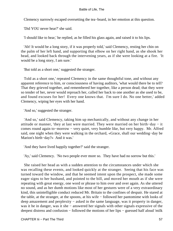Clemency narrowly escaped oversetting the tea−board, in her emotion at this question.

'Did YOU never hear?' she said.

'I should like to hear,' he replied, as he filled his glass again, and raised it to his lips.

 'Ah! It would be a long story, if it was properly told,' said Clemency, resting her chin on the palm of her left hand, and supporting that elbow on her right hand, as she shook her head, and looked back through the intervening years, as if she were looking at a fire. 'It would be a long story, I am sure.'

'But told as a short one,' suggested the stranger.

 Told as a short one,' repeated Clemency in the same thoughtful tone, and without any apparent reference to him, or consciousness of having auditors, 'what would there be to tell? That they grieved together, and remembered her together, like a person dead; that they were so tender of her, never would reproach her, called her back to one another as she used to be, and found excuses for her! Every one knows that. I'm sure I do. No one better,' added Clemency, wiping her eyes with her hand.

'And so,' suggested the stranger.

 'And so,' said Clemency, taking him up mechanically, and without any change in her attitude or manner, 'they at last were married. They were married on her birth−day − it comes round again to−morrow − very quiet, very humble like, but very happy. Mr. Alfred said, one night when they were walking in the orchard, «Grace, shall our wedding−day be Marion's birth−day?» And it was.'

'And they have lived happily together?' said the stranger.

'Ay,' said Clemency. 'No two people ever more so. They have had no sorrow but this.'

 She raised her head as with a sudden attention to the circumstances under which she was recalling these events, and looked quickly at the stranger. Seeing that his face was turned toward the window, and that he seemed intent upon the prospect, she made some eager signs to her husband, and pointed to the bill, and moved her mouth as if she were repeating with great energy, one word or phrase to him over and over again. As she uttered no sound, and as her dumb motions like most of her gestures were of a very extraordinary kind, this unintelligible conduct reduced Mr. Britain to the confines of despair. He stared at the table, at the stranger, at the spoons, at his wife − followed her pantomime with looks of deep amazement and perplexity − asked in the same language, was it property in danger, was it he in danger, was it she − answered her signals with other signals expressive of the deepest distress and confusion − followed the motions of her lips − guessed half aloud 'milk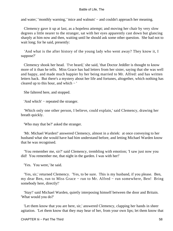and water,' 'monthly warning,' 'mice and walnuts' − and couldn't approach her meaning.

 Clemency gave it up at last, as a hopeless attempt; and moving her chair by very slow degrees a little nearer to the stranger, sat with her eyes apparently cast down but glancing sharply at him now and then, waiting until he should ask some other question. She had not to wait long; for he said, presently:

 'And what is the after history of the young lady who went away? They know it, I suppose?'

 Clemency shook her head. 'I've heard,' she said, 'that Doctor Jeddler is thought to know more of it than he tells. Miss Grace has had letters from her sister, saying that she was well and happy, and made much happier by her being married to Mr. Alfred: and has written letters back. But there's a mystery about her life and fortunes, altogether, which nothing has cleared up to this hour, and which − '

She faltered here, and stopped.

'And which' − repeated the stranger.

 'Which only one other person, I believe, could explain,' said Clemency, drawing her breath quickly.

'Who may that be?' asked the stranger.

 'Mr. Michael Warden!' answered Clemency, almost in a shriek: at once conveying to her husband what she would have had him understand before, and letting Michael Warden know that he was recognised.

 'You remember me, sir?' said Clemency, trembling with emotion; 'I saw just now you did! You remember me, that night in the garden. I was with her!'

'Yes. You were,' he said.

 'Yes, sir,' returned Clemency. 'Yes, to be sure. This is my husband, if you please. Ben, my dear Ben, run to Miss Grace − run to Mr. Alfred − run somewhere, Ben! Bring somebody here, directly!'

 'Stay!' said Michael Warden, quietly interposing himself between the door and Britain. 'What would you do?'

 'Let them know that you are here, sir,' answered Clemency, clapping her hands in sheer agitation. 'Let them know that they may hear of her, from your own lips; let them know that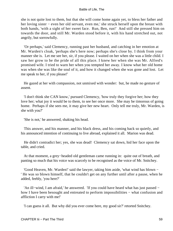she is not quite lost to them, but that she will come home again yet, to bless her father and her loving sister − even her old servant, even me,' she struck herself upon the breast with both hands, 'with a sight of her sweet face. Run, Ben, run!' And still she pressed him on towards the door, and still Mr. Warden stood before it, with his hand stretched out, not angrily, but sorrowfully.

 'Or perhaps,' said Clemency, running past her husband, and catching in her emotion at Mr. Warden's cloak, 'perhaps she's here now; perhaps she's close by. I think from your manner she is. Let me see her, sir, if you please. I waited on her when she was a little child. I saw her grow to be the pride of all this place. I knew her when she was Mr. Alfred's promised wife. I tried to warn her when you tempted her away. I know what her old home was when she was like the soul of it, and how it changed when she was gone and lost. Let me speak to her, if you please!'

 He gazed at her with compassion, not unmixed with wonder: but, he made no gesture of assent.

 'I don't think she CAN know,' pursued Clemency, 'how truly they forgive her; how they love her; what joy it would be to them, to see her once more. She may be timorous of going home. Perhaps if she sees me, it may give her new heart. Only tell me truly, Mr. Warden, is she with you?'

'She is not,' he answered, shaking his head.

 This answer, and his manner, and his black dress, and his coming back so quietly, and his announced intention of continuing to live abroad, explained it all. Marion was dead.

 He didn't contradict her; yes, she was dead! Clemency sat down, hid her face upon the table, and cried.

 At that moment, a grey−headed old gentleman came running in: quite out of breath, and panting so much that his voice was scarcely to be recognised as the voice of Mr. Snitchey.

 'Good Heaven, Mr. Warden!' said the lawyer, taking him aside, 'what wind has blown − ' He was so blown himself, that he couldn't get on any further until after a pause, when he added, feebly, 'you here?'

 'An ill−wind, I am afraid,' he answered. 'If you could have heard what has just passed − how I have been besought and entreated to perform impossibilities – what confusion and affliction I carry with me!'

'I can guess it all. But why did you ever come here, my good sir?' retorted Snitchey.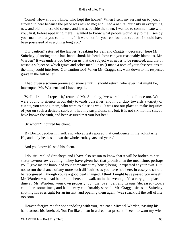'Come! How should I know who kept the house? When I sent my servant on to you, I strolled in here because the place was new to me; and I had a natural curiosity in everything new and old, in these old scenes; and it was outside the town. I wanted to communicate with you, first, before appearing there. I wanted to know what people would say to me. I see by your manner that you can tell me. If it were not for your confounded caution, I should have been possessed of everything long ago.'

 'Our caution!' returned the lawyer, 'speaking for Self and Craggs − deceased,' here Mr. Snitchey, glancing at his hat−band, shook his head, 'how can you reasonably blame us, Mr. Warden? It was understood between us that the subject was never to be renewed, and that it wasn't a subject on which grave and sober men like us (I made a note of your observations at the time) could interfere. Our caution too! When Mr. Craggs, sir, went down to his respected grave in the full belief − '

 'I had given a solemn promise of silence until I should return, whenever that might be,' interrupted Mr. Warden; 'and I have kept it.'

 'Well, sir, and I repeat it,' returned Mr. Snitchey, 'we were bound to silence too. We were bound to silence in our duty towards ourselves, and in our duty towards a variety of clients, you among them, who were as close as wax. It was not our place to make inquiries of you on such a delicate subject. I had my suspicions, sir; but, it is not six months since I have known the truth, and been assured that you lost her.'

'By whom?' inquired his client.

 'By Doctor Jeddler himself, sir, who at last reposed that confidence in me voluntarily. He, and only he, has known the whole truth, years and years.'

'And you know it?' said his client.

 'I do, sir!' replied Snitchey; 'and I have also reason to know that it will be broken to her sister to−morrow evening. They have given her that promise. In the meantime, perhaps you'll give me the honour of your company at my house; being unexpected at your own. But, not to run the chance of any more such difficulties as you have had here, in case you should be recognised − though you're a good deal changed; I think I might have passed you myself, Mr. Warden – we had better dine here, and walk on in the evening. It's a very good place to dine at, Mr. Warden: your own property, by− the−bye. Self and Craggs (deceased) took a chop here sometimes, and had it very comfortably served. Mr. Craggs, sir,' said Snitchey, shutting his eyes tight for an instant, and opening them again, 'was struck off the roll of life too soon.'

 'Heaven forgive me for not condoling with you,' returned Michael Warden, passing his hand across his forehead, 'but I'm like a man in a dream at present. I seem to want my wits.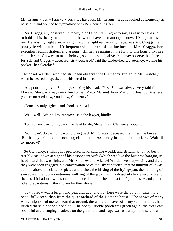Mr. Craggs − yes − I am very sorry we have lost Mr. Craggs.' But he looked at Clemency as he said it, and seemed to sympathise with Ben, consoling her.

 'Mr. Craggs, sir,' observed Snitchey, 'didn't find life, I regret to say, as easy to have and to hold as his theory made it out, or he would have been among us now. It's a great loss to me. He was my right arm, my right leg, my right ear, my right eye, was Mr. Craggs. I am paralytic without him. He bequeathed his share of the business to Mrs. Craggs, her executors, administrators, and assigns. His name remains in the Firm to this hour. I try, in a childish sort of a way, to make believe, sometimes, he's alive. You may observe that I speak for Self and Craggs − deceased, sir − deceased,' said the tender−hearted attorney, waving his pocket− handkerchief.

 Michael Warden, who had still been observant of Clemency, turned to Mr. Snitchey when he ceased to speak, and whispered in his ear.

 'Ah, poor thing!' said Snitchey, shaking his head. 'Yes. She was always very faithful to Marion. She was always very fond of her. Pretty Marion! Poor Marion! Cheer up, Mistress – you are married now, you know, Clemency.'

Clemency only sighed, and shook her head.

'Well, well! Wait till to−morrow,' said the lawyer, kindly.

'To−morrow can't bring back' the dead to life, Mister,' said Clemency, sobbing.

 'No. It can't do that, or it would bring back Mr. Craggs, deceased,' returned the lawyer. 'But it may bring some soothing circumstances; it may bring some comfort. Wait till to−morrow!'

 So Clemency, shaking his proffered hand, said she would; and Britain, who had been terribly cast down at sight of his despondent wife (which was like the business hanging its head), said that was right; and Mr. Snitchey and Michael Warden went up−stairs; and there they were soon engaged in a conversation so cautiously conducted, that no murmur of it was audible above the clatter of plates and dishes, the hissing of the frying−pan, the bubbling of saucepans, the low monotonous waltzing of the jack – with a dreadful click every now and then as if it had met with some mortal accident to its head, in a fit of giddiness − and all the other preparations in the kitchen for their dinner.

 To−morrow was a bright and peaceful day; and nowhere were the autumn tints more beautifully seen, than from the quiet orchard of the Doctor's house. The snows of many winter nights had melted from that ground, the withered leaves of many summer times had rustled there, since she had fled. The honey−suckle porch was green again, the trees cast bountiful and changing shadows on the grass, the landscape was as tranquil and serene as it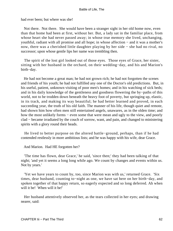had ever been; but where was she!

 Not there. Not there. She would have been a stranger sight in her old home now, even than that home had been at first, without her. But, a lady sat in the familiar place, from whose heart she had never passed away; in whose true memory she lived, unchanging, youthful, radiant with all promise and all hope; in whose affection − and it was a mother's now, there was a cherished little daughter playing by her side − she had no rival, no successor; upon whose gentle lips her name was trembling then.

 The spirit of the lost girl looked out of those eyes. Those eyes of Grace, her sister, sitting with her husband in the orchard, on their wedding−day, and his and Marion's birth−day.

 He had not become a great man; he had not grown rich; he had not forgotten the scenes and friends of his youth; he had not fulfilled any one of the Doctor's old predictions. But, in his useful, patient, unknown visiting of poor men's homes; and in his watching of sick beds; and in his daily knowledge of the gentleness and goodness flowering the by−paths of this world, not to be trodden down beneath the heavy foot of poverty, but springing up, elastic, in its track, and making its way beautiful; he had better learned and proved, in each succeeding year, the truth of his old faith. The manner of his life, though quiet and remote, had shown him how often men still entertained angels, unawares, as in the olden time; and how the most unlikely forms – even some that were mean and ugly to the view, and poorly clad − became irradiated by the couch of sorrow, want, and pain, and changed to ministering spirits with a glory round their heads.

 He lived to better purpose on the altered battle−ground, perhaps, than if he had contended restlessly in more ambitious lists; and he was happy with his wife, dear Grace.

And Marion. Had HE forgotten her?

 'The time has flown, dear Grace,' he said, 'since then;' they had been talking of that night; 'and yet it seems a long long while ago. We count by changes and events within us. Not by years.'

 'Yet we have years to count by, too, since Marion was with us,' returned Grace. 'Six times, dear husband, counting to−night as one, we have sat here on her birth−day, and spoken together of that happy return, so eagerly expected and so long deferred. Ah when will it be! When will it be!'

 Her husband attentively observed her, as the tears collected in her eyes; and drawing nearer, said: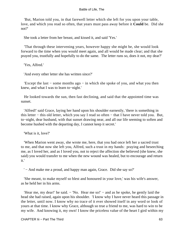'But, Marion told you, in that farewell letter which she left for you upon your table, love, and which you read so often, that years must pass away before it **Could** be. Did she not?'

She took a letter from her breast, and kissed it, and said 'Yes.'

 'That through these intervening years, however happy she might be, she would look forward to the time when you would meet again, and all would be made clear; and that she prayed you, trustfully and hopefully to do the same. The letter runs so, does it not, my dear?'

'Yes, Alfred.'

'And every other letter she has written since?'

 'Except the last − some months ago − in which she spoke of you, and what you then knew, and what I was to learn to−night.'

 He looked towards the sun, then fast declining, and said that the appointed time was sunset.

 'Alfred!' said Grace, laying her hand upon his shoulder earnestly, 'there is something in this letter − this old letter, which you say I read so often − that I have never told you. But, to−night, dear husband, with that sunset drawing near, and all our life seeming to soften and become hushed with the departing day, I cannot keep it secret.'

'What is it, love?'

 'When Marion went away, she wrote me, here, that you had once left her a sacred trust to me, and that now she left you, Alfred, such a trust in my hands: praying and beseeching me, as I loved her, and as I loved you, not to reject the affection she believed (she knew, she said) you would transfer to me when the new wound was healed, but to encourage and return it.'

' − And make me a proud, and happy man again, Grace. Did she say so?'

 'She meant, to make myself so blest and honoured in your love,' was his wife's answer, as he held her in his arms.

 'Hear me, my dear!' he said. − 'No. Hear me so!' − and as he spoke, he gently laid the head she had raised, again upon his shoulder. 'I know why I have never heard this passage in the letter, until now. I know why no trace of it ever showed itself in any word or look of yours at that time. I know why Grace, although so true a friend to me, was hard to win to be my wife. And knowing it, my own! I know the priceless value of the heart I gird within my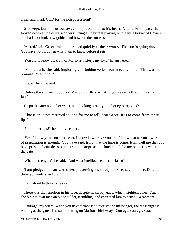arms, and thank GOD for the rich possession!'

 She wept, but not for sorrow, as he pressed her to his heart. After a brief space, he looked down at the child, who was sitting at their feet playing with a little basket of flowers, and bade her look how golden and how red the sun was.

 'Alfred,' said Grace, raising her head quickly at these words. 'The sun is going down. You have not forgotten what I am to know before it sets.'

'You are to know the truth of Marion's history, my love,' he answered.

 'All the truth,' she said, imploringly. 'Nothing veiled from me, any more. That was the promise. Was it not?'

'It was,' he answered.

 'Before the sun went down on Marion's birth−day. And you see it, Alfred? It is sinking fast.'

He put his arm about her waist, and, looking steadily into her eyes, rejoined:

 'That truth is not reserved so long for me to tell, dear Grace. It is to come from other lips.'

'From other lips!' she faintly echoed.

 'Yes. I know your constant heart, I know how brave you are, I know that to you a word of preparation is enough. You have said, truly, that the time is come. It is. Tell me that you have present fortitude to bear a trial – a surprise – a shock: and the messenger is waiting at the gate.'

'What messenger?' she said. 'And what intelligence does he bring?'

 'I am pledged,' he answered her, preserving his steady look, 'to say no more. Do you think you understand me?'

'I am afraid to think,' she said.

 There was that emotion in his face, despite its steady gaze, which frightened her. Again she hid her own face on his shoulder, trembling, and entreated him to pause − a moment.

 'Courage, my wife! When you have firmness to receive the messenger, the messenger is waiting at the gate. The sun is setting on Marion's birth−day. Courage, courage, Grace!'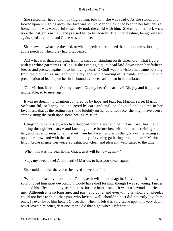She raised her head, and, looking at him, told him she was ready. As she stood, and looked upon him going away, her face was so like Marion's as it had been in her later days at home, that it was wonderful to see. He took the child with him. She called her back − she bore the lost girl's name − and pressed her to her bosom. The little creature, being released again, sped after him, and Grace was left alone.

 She knew not what she dreaded, or what hoped; but remained there, motionless, looking at the porch by which they had disappeared.

 Ah! what was that, emerging from its shadow; standing on its threshold! That figure, with its white garments rustling in the evening air; its head laid down upon her father's breast, and pressed against it to his loving heart! O God! was it a vision that came bursting from the old man's arms, and with a cry, and with a waving of its hands, and with a wild precipitation of itself upon her in its boundless love, sank down in her embrace!

 'Oh, Marion, Marion! Oh, my sister! Oh, my heart's dear love! Oh, joy and happiness unutterable, so to meet again!'

 It was no dream, no phantom conjured up by hope and fear, but Marion, sweet Marion! So beautiful, so happy, so unalloyed by care and trial, so elevated and exalted in her loveliness, that as the setting sun shone brightly on her upturned face, she might have been a spirit visiting the earth upon some healing mission.

 Clinging to her sister, who had dropped upon a seat and bent down over her − and smiling through her tears – and kneeling, close before her, with both arms twining round her, and never turning for an instant from her face – and with the glory of the setting sun upon her brow, and with the soft tranquillity of evening gathering around them − Marion at length broke silence; her voice, so calm, low, clear, and pleasant, well−tuned to the time.

'When this was my dear home, Grace, as it will be now again − '

'Stay, my sweet love! A moment! O Marion, to hear you speak again.'

She could not bear the voice she loved so well, at first.

 'When this was my dear home, Grace, as it will be now again, I loved him from my soul. I loved him most devotedly. I would have died for him, though I was so young. I never slighted his affection in my secret breast for one brief instant. It was far beyond all price to me. Although it is so long ago, and past, and gone, and everything is wholly changed, I could not bear to think that you, who love so well, should think I did not truly love him once. I never loved him better, Grace, than when he left this very scene upon this very day. I never loved him better, dear one, than I did that night when I left here.'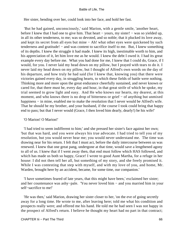Her sister, bending over her, could look into her face, and hold her fast.

 'But he had gained, unconsciously,' said Marion, with a gentle smile, 'another heart, before I knew that I had one to give him. That heart − yours, my sister! − was so yielded up, in all its other tenderness, to me; was so devoted, and so noble; that it plucked its love away, and kept its secret from all eyes but mine − Ah! what other eyes were quickened by such tenderness and gratitude! – and was content to sacrifice itself to me. But, I knew something of its depths. I knew the struggle it had made. I knew its high, inestimable worth to him, and his appreciation of it, let him love me as he would. I knew the debt I owed it. I had its great example every day before me. What you had done for me, I knew that I could do, Grace, if I would, for you. I never laid my head down on my pillow, but I prayed with tears to do it. I never laid my head down on my pillow, but I thought of Alfred's own words on the day of his departure, and how truly he had said (for I knew that, knowing you) that there were victories gained every day, in struggling hearts, to which these fields of battle were nothing. Thinking more and more upon the great endurance cheerfully sustained, and never known or cared for, that there must be, every day and hour, in that great strife of which he spoke, my trial seemed to grow light and easy. And He who knows our hearts, my dearest, at this moment, and who knows there is no drop of bitterness or grief – of anything but unmixed happiness – in mine, enabled me to make the resolution that I never would be Alfred's wife. That he should be my brother, and your husband, if the course I took could bring that happy end to pass; but that I never would (Grace, I then loved him dearly, dearly!) be his wife!'

# 'O Marion! O Marion!'

 'I had tried to seem indifferent to him;' and she pressed her sister's face against her own; 'but that was hard, and you were always his true advocate. I had tried to tell you of my resolution, but you would never hear me; you would never understand me. The time was drawing near for his return. I felt that I must act, before the daily intercourse between us was renewed. I knew that one great pang, undergone at that time, would save a lengthened agony to all of us. I knew that if I went away then, that end must follow which HAS followed, and which has made us both so happy, Grace! I wrote to good Aunt Martha, for a refuge in her house: I did not then tell her all, but something of my story, and she freely promised it. While I was contesting that step with myself, and with my love of you, and home, Mr. Warden, brought here by an accident, became, for some time, our companion.'

 'I have sometimes feared of late years, that this might have been,' exclaimed her sister; and her countenance was ashy−pale. 'You never loved him − and you married him in your self−sacrifice to me!'

 'He was then,' said Marion, drawing her sister closer to her, 'on the eve of going secretly away for a long time. He wrote to me, after leaving here; told me what his condition and prospects really were; and offered me his hand. He told me he had seen I was not happy in the prospect of Alfred's return. I believe he thought my heart had no part in that contract;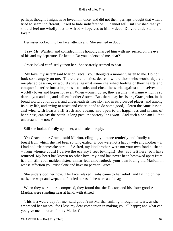perhaps thought I might have loved him once, and did not then; perhaps thought that when I tried to seem indifferent, I tried to hide indifference − I cannot tell. But I wished that you should feel me wholly lost to Alfred − hopeless to him − dead. Do you understand me, love?'

Her sister looked into her face, attentively. She seemed in doubt.

 'I saw Mr. Warden, and confided in his honour; charged him with my secret, on the eve of his and my departure. He kept it. Do you understand me, dear?'

Grace looked confusedly upon her. She scarcely seemed to hear.

 'My love, my sister!' said Marion, 'recall your thoughts a moment; listen to me. Do not look so strangely on me. There are countries, dearest, where those who would abjure a misplaced passion, or would strive, against some cherished feeling of their hearts and conquer it, retire into a hopeless solitude, and close the world against themselves and worldly loves and hopes for ever. When women do so, they assume that name which is so dear to you and me, and call each other Sisters. But, there may be sisters, Grace, who, in the broad world out of doors, and underneath its free sky, and in its crowded places, and among its busy life, and trying to assist and cheer it and to do some good, − learn the same lesson; and who, with hearts still fresh and young, and open to all happiness and means of happiness, can say the battle is long past, the victory long won. And such a one am I! You understand me now?'

Still she looked fixedly upon her, and made no reply.

 'Oh Grace, dear Grace,' said Marion, clinging yet more tenderly and fondly to that breast from which she had been so long exiled, 'if you were not a happy wife and mother − if I had no little namesake here − if Alfred, my kind brother, were not your own fond husband − from whence could I derive the ecstasy I feel to−night! But, as I left here, so I have returned. My heart has known no other love, my hand has never been bestowed apart from it. I am still your maiden sister, unmarried, unbetrothed: your own loving old Marion, in whose affection you exist alone and have no partner, Grace!'

 She understood her now. Her face relaxed: sobs came to her relief; and falling on her neck, she wept and wept, and fondled her as if she were a child again.

When they were more composed, they found that the Doctor, and his sister good Aunt Martha, were standing near at hand, with Alfred.

 'This is a weary day for me,' said good Aunt Martha, smiling through her tears, as she embraced her nieces; 'for I lose my dear companion in making you all happy; and what can you give me, in return for my Marion?'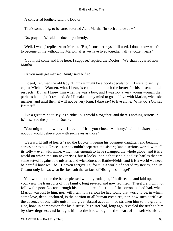'A converted brother,' said the Doctor.

'That's something, to be sure,' retorted Aunt Martha, 'in such a farce as − '

'No, pray don't,' said the doctor penitently.

 'Well, I won't,' replied Aunt Martha. 'But, I consider myself ill used. I don't know what's to become of me without my Marion, after we have lived together half−a−dozen years.'

 'You must come and live here, I suppose,' replied the Doctor. 'We shan't quarrel now, Martha.'

'Or you must get married, Aunt,' said Alfred.

 'Indeed,' returned the old lady, 'I think it might be a good speculation if I were to set my cap at Michael Warden, who, I hear, is come home much the better for his absence in all respects. But as I knew him when he was a boy, and I was not a very young woman then, perhaps he mightn't respond. So I'll make up my mind to go and live with Marion, when she marries, and until then (it will not be very long, I dare say) to live alone. What do YOU say, Brother?'

 'I've a great mind to say it's a ridiculous world altogether, and there's nothing serious in it,' observed the poor old Doctor.

 'You might take twenty affidavits of it if you chose, Anthony,' said his sister; 'but nobody would believe you with such eyes as those.'

 'It's a world full of hearts,' said the Doctor, hugging his youngest daughter, and bending across her to hug Grace − for he couldn't separate the sisters; 'and a serious world, with all its folly − even with mine, which was enough to have swamped the whole globe; and it is a world on which the sun never rises, but it looks upon a thousand bloodless battles that are some set−off against the miseries and wickedness of Battle−Fields; and it is a world we need be careful how we libel, Heaven forgive us, for it is a world of sacred mysteries, and its Creator only knows what lies beneath the surface of His lightest image!'

 You would not be the better pleased with my rude pen, if it dissected and laid open to your view the transports of this family, long severed and now reunited. Therefore, I will not follow the poor Doctor through his humbled recollection of the sorrow he had had, when Marion was lost to him; nor, will I tell how serious he had found that world to be, in which some love, deep−anchored, is the portion of all human creatures; nor, how such a trifle as the absence of one little unit in the great absurd account, had stricken him to the ground. Nor, how, in compassion for his distress, his sister had, long ago, revealed the truth to him by slow degrees, and brought him to the knowledge of the heart of his self−banished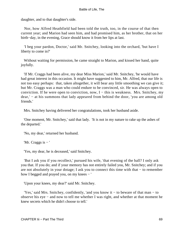daughter, and to that daughter's side.

 Nor, how Alfred Heathfield had been told the truth, too, in the course of that then current year; and Marion had seen him, and had promised him, as her brother, that on her birth−day, in the evening, Grace should know it from her lips at last.

 'I beg your pardon, Doctor,' said Mr. Snitchey, looking into the orchard, 'but have I liberty to come in?'

 Without waiting for permission, he came straight to Marion, and kissed her hand, quite joyfully.

 'If Mr. Craggs had been alive, my dear Miss Marion,' said Mr. Snitchey, 'he would have had great interest in this occasion. It might have suggested to him, Mr. Alfred, that our life is not too easy perhaps: that, taken altogether, it will bear any little smoothing we can give it; but Mr. Craggs was a man who could endure to be convinced, sir. He was always open to conviction. If he were open to conviction, now,  $I - this$  is weakness. Mrs. Snitchey, my dear,' − at his summons that lady appeared from behind the door, 'you are among old friends.'

Mrs. Snitchey having delivered her congratulations, took her husband aside.

 'One moment, Mr. Snitchey,' said that lady. 'It is not in my nature to rake up the ashes of the departed.'

'No, my dear,' returned her husband.

'Mr. Craggs is − '

'Yes, my dear, he is deceased,' said Snitchey.

 'But I ask you if you recollect,' pursued his wife, 'that evening of the ball? I only ask you that. If you do; and if your memory has not entirely failed you, Mr. Snitchey; and if you are not absolutely in your dotage; I ask you to connect this time with that − to remember how I begged and prayed you, on my knees − '

'Upon your knees, my dear?' said Mr. Snitchey.

 'Yes,' said Mrs. Snitchey, confidently, 'and you know it − to beware of that man − to observe his eye − and now to tell me whether I was right, and whether at that moment he knew secrets which he didn't choose to tell.'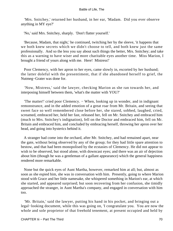'Mrs. Snitchey,' returned her husband, in her ear, 'Madam. Did you ever observe anything in MY eye?'

'No,' said Mrs. Snitchey, sharply. 'Don't flatter yourself.'

 'Because, Madam, that night,' he continued, twitching her by the sleeve, 'it happens that we both knew secrets which we didn't choose to tell, and both knew just the same professionally. And so the less you say about such things the better, Mrs. Snitchey; and take this as a warning to have wiser and more charitable eyes another time. Miss Marion, I brought a friend of yours along with me. Here! Mistress!'

 Poor Clemency, with her apron to her eyes, came slowly in, escorted by her husband; the latter doleful with the presentiment, that if she abandoned herself to grief, the Nutmeg−Grater was done for.

 'Now, Mistress,' said the lawyer, checking Marion as she ran towards her, and interposing himself between them, 'what's the matter with YOU?'

 'The matter!' cried poor Clemency. − When, looking up in wonder, and in indignant remonstrance, and in the added emotion of a great roar from Mr. Britain, and seeing that sweet face so well remembered close before her, she stared, sobbed, laughed, cried, screamed, embraced her, held her fast, released her, fell on Mr. Snitchey and embraced him (much to Mrs. Snitchey's indignation), fell on the Doctor and embraced him, fell on Mr. Britain and embraced him, and concluded by embracing herself, throwing her apron over her head, and going into hysterics behind it.

 A stranger had come into the orchard, after Mr. Snitchey, and had remained apart, near the gate, without being observed by any of the group; for they had little spare attention to bestow, and that had been monopolised by the ecstasies of Clemency. He did not appear to wish to be observed, but stood alone, with downcast eyes; and there was an air of dejection about him (though he was a gentleman of a gallant appearance) which the general happiness rendered more remarkable.

 None but the quick eyes of Aunt Martha, however, remarked him at all; but, almost as soon as she espied him, she was in conversation with him. Presently, going to where Marion stood with Grace and her little namesake, she whispered something in Marion's ear, at which she started, and appeared surprised; but soon recovering from her confusion, she timidly approached the stranger, in Aunt Martha's company, and engaged in conversation with him too.

 'Mr. Britain,' said the lawyer, putting his hand in his pocket, and bringing out a legal−looking document, while this was going on, 'I congratulate you. You are now the whole and sole proprietor of that freehold tenement, at present occupied and held by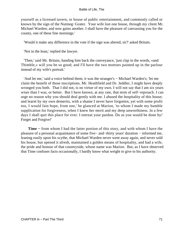yourself as a licensed tavern, or house of public entertainment, and commonly called or known by the sign of the Nutmeg−Grater. Your wife lost one house, through my client Mr. Michael Warden; and now gains another. I shall have the pleasure of canvassing you for the county, one of these fine mornings.'

'Would it make any difference in the vote if the sign was altered, sir?' asked Britain.

'Not in the least,' replied the lawyer.

 'Then,' said Mr. Britain, handing him back the conveyance, 'just clap in the words, «and Thimble,» will you be so good; and I'll have the two mottoes painted up in the parlour instead of my wife's portrait.'

 'And let me,' said a voice behind them; it was the stranger's − Michael Warden's; 'let me claim the benefit of those inscriptions. Mr. Heathfield and Dr. Jeddler, I might have deeply wronged you both. That I did not, is no virtue of my own. I will not say that I am six years wiser than I was, or better. But I have known, at any rate, that term of self−reproach. I can urge no reason why you should deal gently with me. I abused the hospitality of this house; and learnt by my own demerits, with a shame I never have forgotten, yet with some profit too, I would fain hope, from one,' he glanced at Marion, 'to whom I made my humble supplication for forgiveness, when I knew her merit and my deep unworthiness. In a few days I shall quit this place for ever. I entreat your pardon. Do as you would be done by! Forget and Forgive!'

**Time −** from whom I had the latter portion of this story, and with whom I have the pleasure of a personal acquaintance of some five− and−thirty years' duration − informed me, leaning easily upon his scythe, that Michael Warden never went away again, and never sold his house, but opened it afresh, maintained a golden means of hospitality, and had a wife, the pride and honour of that countryside, whose name was Marion. But, as I have observed that Time confuses facts occasionally, I hardly know what weight to give to his authority.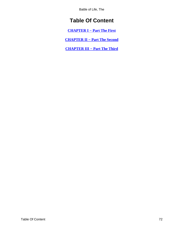Battle of Life, The

# **Table Of Content**

**[CHAPTER I − Part The First](#page-3-0)**

**[CHAPTER II − Part The Second](#page-22-0)**

**[CHAPTER III − Part The Third](#page-50-0)**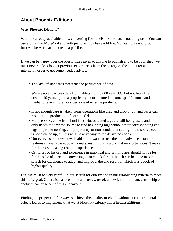## **About Phoenix Editions**

### **Why Phoenix Editions?**

With the already available tools, converting files to eBook formats is not a big task. You can use a plugin in MS Word and with just one click have a lit file. You can drag and drop html into Adobe Acrobat and create a pdf file.

If we can be happy over the possibilities given to anyone to publish and to be published, we must nevertheless look at previous experiences from the history of the computer and the internet in order to get some needed advice:

• The lack of standards threatens the persistance of data.

We are able to access data from tablets from 3.000 year B.C. but not from files created 10 years ago in a proprietary format, stored in some specific non standard media, or even in previous versions of existing products.

- If not enough care is taken, some operations like drag and drop or cut and paste can result in the production of corrupted data.
- Many ebooks come from html files. But outdated tags are still being used, and one only needs to view the source to find beginning tags without their corresponding end tags, improper nesting, and proprietary or non standard encoding. If the source code is not cleaned up, all this will make its way to the derivated ebook.
- Not every user knows how, is able to or wants to use the more advanced standard features of available ebooks formats, resulting in a work that very often doesn't make for the most pleasing reading experience.
- Centuries of history and experience in graphical and printing arts should not be lost for the sake of speed in converting to an ebook format. Much can be done in our search for excellence to adapt and improve, the end result of which is a ebook of higher quality.

But, we must be very careful in our search for quality and in our establishing criteria to meet this lofty goal. Otherwise, as we know and are aware of, a new kind of elitism, censorship or snobism can arise out of this endeavour.

Finding the proper and fair way to achieve this quality of ebook without such detrimental effects led us to implement what we at Phoenix−Library call **Phoenix Editions**.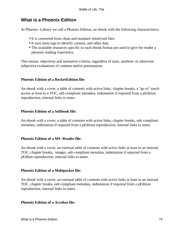## **What is a Phoenix Edition**

At Phoenix−Library we call a Phoenix Edition, an ebook with the following characteristics:

- It is converted from clean and standard xhtml/xml files
- It uses meta tags to identify content, and other data
- The available resources specific to each ebook format are used to give the reader a pleasant reading experience.

This means: objectives and normative criteria, regardless of taste, aesthetic or otherwise subjective evaluations of contents and/or presentation.

#### **Phoenix Edition of a RocketEdition file:**

An ebook with a cover, a table of contents with active links, chapter breaks, a "go to" touch access at least to a TOC, oeb compliant metadata, indentation if required from a pEdition reproduction, internal links to notes.

#### **Phoenix Edition of a Softbook file:**

An ebook with a cover, a table of contents with active links, chapter breaks, oeb compliant metadata, indentation if required from a pEdition reproduction, internal links to notes.

#### **Phoenix Edition of a MS−Reader file:**

An ebook with a cover, an external table of contents with active links at least to an internal TOC, chapter breaks, images, oeb compliant metadata, indentation if required from a pEditon reproduction, internal links to notes.

#### **Phoenix Edition of a Mobipocket file:**

An ebook with a cover, an external table of contents with active links at least to an internal TOC, chapter breaks, oeb compliant metadata, indentation if required from a pEdition reproduction, internal links to notes.

#### **Phoenix Edition of a Acrobat file:**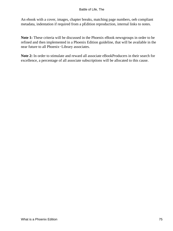An ebook with a cover, images, chapter breaks, matching page numbers, oeb compliant metadata, indentation if required from a pEdition reproduction, internal links to notes.

**Note 1:** These criteria will be discussed in the Phoenix eBook newsgroups in order to be refined and then implemented in a Phoenix Edition guideline, that will be available in the near future to all Phoenix−Library associates.

**Note 2:** In order to stimulate and reward all associate eBookProducers in their search for excellence, a percentage of all associate subscriptions will be allocated to this cause.